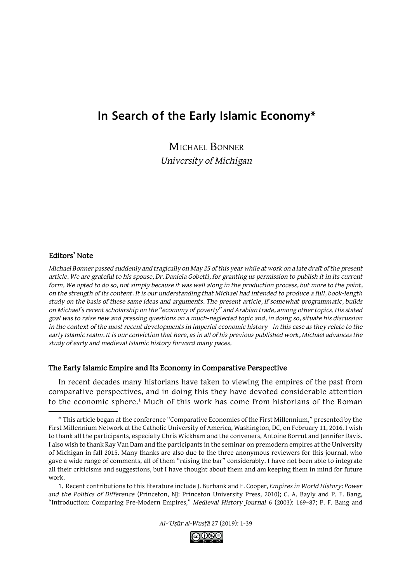# **In Search of the Early Islamic Economy\***

Michael Bonner *University of Michigan*

#### **Editors' Note**

*Michael Bonner passed suddenly and tragically on May 25 of this year while at work on a late draft of the present article. We are grateful to his spouse, Dr. Daniela Gobetti, for granting us permission to publish it in its current form. We opted to do so, not simply because it was well along in the production process, but more to the point, on the strength of its content. It is our understanding that Michael had intended to produce a full, book-length study on the basis of these same ideas and arguments. The present article, if somewhat programmatic, builds on Michael's recent scholarship on the "economy of poverty" and Arabian trade, among other topics. His stated goal was to raise new and pressing questions on a much-neglected topic and, in doing so, situate his discussion in the context of the most recent developments in imperial economic history—in this case as they relate to the early Islamic realm. It is our conviction that here, as in all of his previous published work, Michael advances the study of early and medieval Islamic history forward many paces.*

#### **The Early Islamic Empire and Its Economy in Comparative Perspective**

In recent decades many historians have taken to viewing the empires of the past from comparative perspectives, and in doing this they have devoted considerable attention to the economic sphere.<sup>1</sup> Much of this work has come from historians of the Roman



<sup>\*</sup> This article began at the conference "Comparative Economies of the First Millennium," presented by the First Millennium Network at the Catholic University of America, Washington, DC, on February 11, 2016. I wish to thank all the participants, especially Chris Wickham and the conveners, Antoine Borrut and Jennifer Davis. I also wish to thank Ray Van Dam and the participants in the seminar on premodern empires at the University of Michigan in fall 2015. Many thanks are also due to the three anonymous reviewers for this journal, who gave a wide range of comments, all of them "raising the bar" considerably. I have not been able to integrate all their criticisms and suggestions, but I have thought about them and am keeping them in mind for future work.

<sup>1.</sup> Recent contributions to this literature include J. Burbank and F. Cooper, *Empires in World History: Power and the Politics of Difference* (Princeton, NJ: Princeton University Press, 2010); C. A. Bayly and P. F. Bang, "Introduction: Comparing Pre-Modern Empires," *Medieval History Journal* 6 (2003): 169–87; P. F. Bang and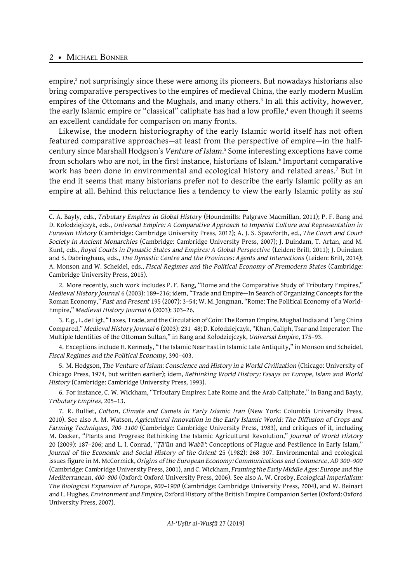empire,<sup>2</sup> not surprisingly since these were among its pioneers. But nowadays historians also bring comparative perspectives to the empires of medieval China, the early modern Muslim empires of the Ottomans and the Mughals, and many others.<sup>3</sup> In all this activity, however, the early Islamic empire or "classical" caliphate has had a low profile,<sup>4</sup> even though it seems an excellent candidate for comparison on many fronts.

Likewise, the modern historiography of the early Islamic world itself has not often featured comparative approaches—at least from the perspective of empire—in the halfcentury since Marshall Hodgson's Venture of Islam.<sup>5</sup> Some interesting exceptions have come from scholars who are not, in the first instance, historians of Islam.<sup>6</sup> Important comparative work has been done in environmental and ecological history and related areas.7 But in the end it seems that many historians prefer not to describe the early Islamic polity as an empire at all. Behind this reluctance lies a tendency to view the early Islamic polity as *sui* 

3. E.g., L. de Ligt, "Taxes, Trade, and the Circulation of Coin: The Roman Empire, Mughal India and T'ang China Compared," *Medieval History Journal* 6 (2003): 231–48; D. Kołodziejczyk, "Khan, Caliph, Tsar and Imperator: The Multiple Identities of the Ottoman Sultan," in Bang and Kołodziejczyk, *Universal Empire*, 175–93.

4. Exceptions include H. Kennedy, "The Islamic Near East in Islamic Late Antiquity," in Monson and Scheidel, *Fiscal Regimes and the Political Economy*, 390–403.

5. M. Hodgson, *The Venture of Islam: Conscience and History in a World Civilization* (Chicago: University of Chicago Press, 1974, but written earlier); idem, *Rethinking World History: Essays on Europe, Islam and World History* (Cambridge: Cambridge University Press, 1993).

6. For instance, C. W. Wickham, "Tributary Empires: Late Rome and the Arab Caliphate," in Bang and Bayly, *Tributary Empires*, 205–13.

C. A. Bayly, eds., *Tributary Empires in Global History* (Houndmills: Palgrave Macmillan, 2011); P. F. Bang and D. Kołodziejczyk, eds., *Universal Empire: A Comparative Approach to Imperial Culture and Representation in Eurasian History* (Cambridge: Cambridge University Press, 2012); A. J. S. Spawforth, ed., *The Court and Court Society in Ancient Monarchies* (Cambridge: Cambridge University Press, 2007); J. Duindam, T. Artan, and M. Kunt, eds., *Royal Courts in Dynastic States and Empires: A Global Perspective* (Leiden: Brill, 2011); J. Duindam and S. Dabringhaus, eds., *The Dynastic Centre and the Provinces: Agents and Interactions* (Leiden: Brill, 2014); A. Monson and W. Scheidel, eds., *Fiscal Regimes and the Political Economy of Premodern States* (Cambridge: Cambridge University Press, 2015).

<sup>2.</sup> More recently, such work includes P. F. Bang, "Rome and the Comparative Study of Tributary Empires," *Medieval History Journal* 6 (2003): 189–216; idem, "Trade and Empire—In Search of Organizing Concepts for the Roman Economy," *Past and Present* 195 (2007): 3–54; W. M. Jongman, "Rome: The Political Economy of a World-Empire," *Medieval History Journal* 6 (2003): 303–26.

<sup>7.</sup> R. Bulliet, *Cotton, Climate and Camels in Early Islamic Iran* (New York: Columbia University Press, 2010). See also A. M. Watson, *Agricultural Innovation in the Early Islamic World: The Diffusion of Crops and Farming Techniques, 700–1100* (Cambridge: Cambridge University Press, 1983), and critiques of it, including M. Decker, "Plants and Progress: Rethinking the Islamic Agricultural Revolution," *Journal of World History* 20 (2009): 187–206; and L. I. Conrad, "*Ṭāʿūn* and *Wabāʾ*: Conceptions of Plague and Pestilence in Early Islam," *Journal of the Economic and Social History of the Orient* 25 (1982): 268–307. Environmental and ecological issues figure in M. McCormick, *Origins of the European Economy: Communications and Commerce, AD 300–900* (Cambridge: Cambridge University Press, 2001), and C. Wickham, *Framing the Early Middle Ages: Europe and the Mediterranean, 400–800* (Oxford: Oxford University Press, 2006). See also A. W. Crosby, *Ecological Imperialism: The Biological Expansion of Europe, 900–1900* (Cambridge: Cambridge University Press, 2004), and W. Beinart and L. Hughes, *Environment and Empire*, Oxford History of the British Empire Companion Series (Oxford: Oxford University Press, 2007).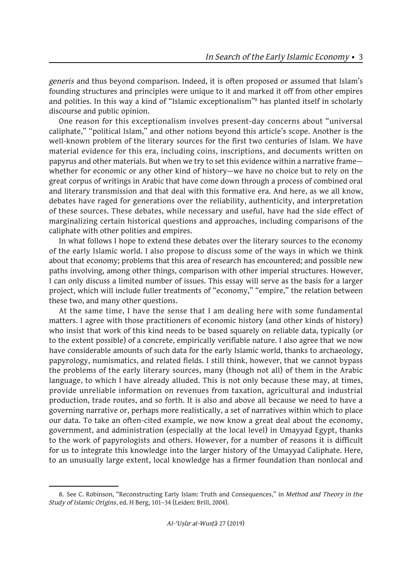*generis* and thus beyond comparison. Indeed, it is often proposed or assumed that Islam's founding structures and principles were unique to it and marked it off from other empires and polities. In this way a kind of "Islamic exceptionalism"8 has planted itself in scholarly discourse and public opinion.

One reason for this exceptionalism involves present-day concerns about "universal caliphate," "political Islam," and other notions beyond this article's scope. Another is the well-known problem of the literary sources for the first two centuries of Islam. We have material evidence for this era, including coins, inscriptions, and documents written on papyrus and other materials. But when we try to set this evidence within a narrative frame whether for economic or any other kind of history—we have no choice but to rely on the great corpus of writings in Arabic that have come down through a process of combined oral and literary transmission and that deal with this formative era. And here, as we all know, debates have raged for generations over the reliability, authenticity, and interpretation of these sources. These debates, while necessary and useful, have had the side effect of marginalizing certain historical questions and approaches, including comparisons of the caliphate with other polities and empires.

In what follows I hope to extend these debates over the literary sources to the economy of the early Islamic world. I also propose to discuss some of the ways in which we think about that economy; problems that this area of research has encountered; and possible new paths involving, among other things, comparison with other imperial structures. However, I can only discuss a limited number of issues. This essay will serve as the basis for a larger project, which will include fuller treatments of "economy," "empire," the relation between these two, and many other questions.

At the same time, I have the sense that I am dealing here with some fundamental matters. I agree with those practitioners of economic history (and other kinds of history) who insist that work of this kind needs to be based squarely on reliable data, typically (or to the extent possible) of a concrete, empirically verifiable nature. I also agree that we now have considerable amounts of such data for the early Islamic world, thanks to archaeology, papyrology, numismatics, and related fields. I still think, however, that we cannot bypass the problems of the early literary sources, many (though not all) of them in the Arabic language, to which I have already alluded. This is not only because these may, at times, provide unreliable information on revenues from taxation, agricultural and industrial production, trade routes, and so forth. It is also and above all because we need to have a governing narrative or, perhaps more realistically, a set of narratives within which to place our data. To take an often-cited example, we now know a great deal about the economy, government, and administration (especially at the local level) in Umayyad Egypt, thanks to the work of papyrologists and others. However, for a number of reasons it is difficult for us to integrate this knowledge into the larger history of the Umayyad Caliphate. Here, to an unusually large extent, local knowledge has a firmer foundation than nonlocal and

<sup>8.</sup> See C. Robinson, "Reconstructing Early Islam: Truth and Consequences," in *Method and Theory in the Study of Islamic Origins*, ed. H Berg, 101–34 (Leiden: Brill, 2004).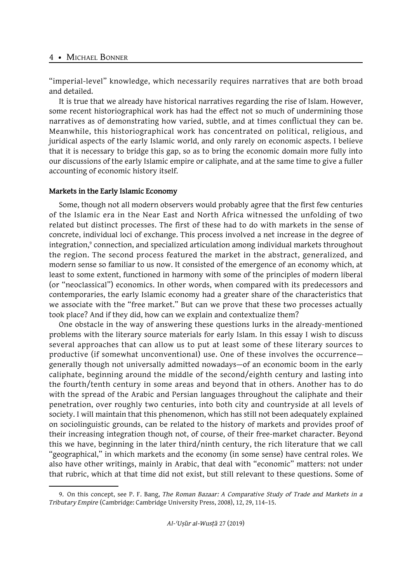"imperial-level" knowledge, which necessarily requires narratives that are both broad and detailed.

It is true that we already have historical narratives regarding the rise of Islam. However, some recent historiographical work has had the effect not so much of undermining those narratives as of demonstrating how varied, subtle, and at times conflictual they can be. Meanwhile, this historiographical work has concentrated on political, religious, and juridical aspects of the early Islamic world, and only rarely on economic aspects. I believe that it is necessary to bridge this gap, so as to bring the economic domain more fully into our discussions of the early Islamic empire or caliphate, and at the same time to give a fuller accounting of economic history itself.

# **Markets in the Early Islamic Economy**

Some, though not all modern observers would probably agree that the first few centuries of the Islamic era in the Near East and North Africa witnessed the unfolding of two related but distinct processes. The first of these had to do with markets in the sense of concrete, individual loci of exchange. This process involved a net increase in the degree of integration,<sup>9</sup> connection, and specialized articulation among individual markets throughout the region. The second process featured the market in the abstract, generalized, and modern sense so familiar to us now. It consisted of the emergence of an economy which, at least to some extent, functioned in harmony with some of the principles of modern liberal (or "neoclassical") economics. In other words, when compared with its predecessors and contemporaries, the early Islamic economy had a greater share of the characteristics that we associate with the "free market." But can we prove that these two processes actually took place? And if they did, how can we explain and contextualize them?

One obstacle in the way of answering these questions lurks in the already-mentioned problems with the literary source materials for early Islam. In this essay I wish to discuss several approaches that can allow us to put at least some of these literary sources to productive (if somewhat unconventional) use. One of these involves the occurrence generally though not universally admitted nowadays—of an economic boom in the early caliphate, beginning around the middle of the second/eighth century and lasting into the fourth/tenth century in some areas and beyond that in others. Another has to do with the spread of the Arabic and Persian languages throughout the caliphate and their penetration, over roughly two centuries, into both city and countryside at all levels of society. I will maintain that this phenomenon, which has still not been adequately explained on sociolinguistic grounds, can be related to the history of markets and provides proof of their increasing integration though not, of course, of their free-market character. Beyond this we have, beginning in the later third/ninth century, the rich literature that we call "geographical," in which markets and the economy (in some sense) have central roles. We also have other writings, mainly in Arabic, that deal with "economic" matters: not under that rubric, which at that time did not exist, but still relevant to these questions. Some of

<sup>9.</sup> On this concept, see P. F. Bang, *The Roman Bazaar: A Comparative Study of Trade and Markets in a Tributary Empire* (Cambridge: Cambridge University Press, 2008), 12, 29, 114–15.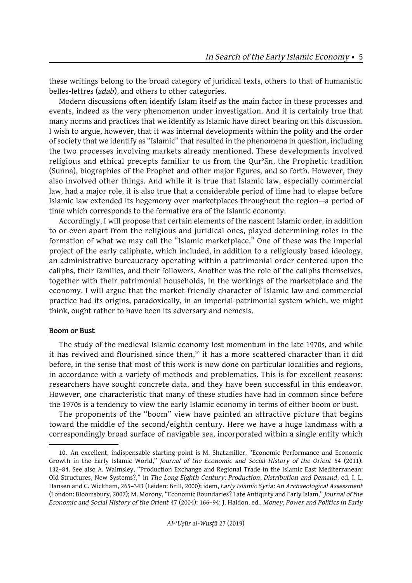these writings belong to the broad category of juridical texts, others to that of humanistic belles-lettres (*adab*), and others to other categories.

Modern discussions often identify Islam itself as the main factor in these processes and events, indeed as the very phenomenon under investigation. And it is certainly true that many norms and practices that we identify as Islamic have direct bearing on this discussion. I wish to argue, however, that it was internal developments within the polity and the order of society that we identify as "Islamic" that resulted in the phenomena in question, including the two processes involving markets already mentioned. These developments involved religious and ethical precepts familiar to us from the Qurʾān, the Prophetic tradition (Sunna), biographies of the Prophet and other major figures, and so forth. However, they also involved other things. And while it is true that Islamic law, especially commercial law, had a major role, it is also true that a considerable period of time had to elapse before Islamic law extended its hegemony over marketplaces throughout the region—a period of time which corresponds to the formative era of the Islamic economy.

Accordingly, I will propose that certain elements of the nascent Islamic order, in addition to or even apart from the religious and juridical ones, played determining roles in the formation of what we may call the "Islamic marketplace." One of these was the imperial project of the early caliphate, which included, in addition to a religiously based ideology, an administrative bureaucracy operating within a patrimonial order centered upon the caliphs, their families, and their followers. Another was the role of the caliphs themselves, together with their patrimonial households, in the workings of the marketplace and the economy. I will argue that the market-friendly character of Islamic law and commercial practice had its origins, paradoxically, in an imperial-patrimonial system which, we might think, ought rather to have been its adversary and nemesis.

# **Boom or Bust**

The study of the medieval Islamic economy lost momentum in the late 1970s, and while it has revived and flourished since then, $10$  it has a more scattered character than it did before, in the sense that most of this work is now done on particular localities and regions, in accordance with a variety of methods and problematics. This is for excellent reasons: researchers have sought concrete data, and they have been successful in this endeavor. However, one characteristic that many of these studies have had in common since before the 1970s is a tendency to view the early Islamic economy in terms of either boom or bust.

The proponents of the "boom" view have painted an attractive picture that begins toward the middle of the second/eighth century. Here we have a huge landmass with a correspondingly broad surface of navigable sea, incorporated within a single entity which

<sup>10.</sup> An excellent, indispensable starting point is M. Shatzmiller, "Economic Performance and Economic Growth in the Early Islamic World," *Journal of the Economic and Social History of the Orient* 54 (2011): 132–84. See also A. Walmsley, "Production Exchange and Regional Trade in the Islamic East Mediterranean: Old Structures, New Systems?," in *The Long Eighth Century: Production, Distribution and Demand*, ed. I. L. Hansen and C. Wickham, 265–343 (Leiden: Brill, 2000); idem, *Early Islamic Syria: An Archaeological Assessment* (London: Bloomsbury, 2007); M. Morony, "Economic Boundaries? Late Antiquity and Early Islam," *Journal of the Economic and Social History of the Orient* 47 (2004): 166–94; J. Haldon, ed., *Money, Power and Politics in Early*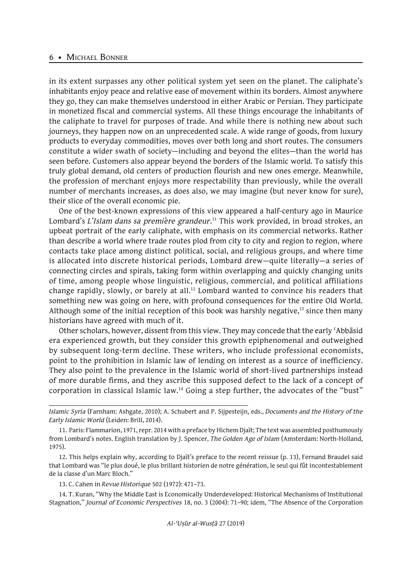in its extent surpasses any other political system yet seen on the planet. The caliphate's inhabitants enjoy peace and relative ease of movement within its borders. Almost anywhere they go, they can make themselves understood in either Arabic or Persian. They participate in monetized fiscal and commercial systems. All these things encourage the inhabitants of the caliphate to travel for purposes of trade. And while there is nothing new about such journeys, they happen now on an unprecedented scale. A wide range of goods, from luxury products to everyday commodities, moves over both long and short routes. The consumers constitute a wider swath of society—including and beyond the elites—than the world has seen before. Customers also appear beyond the borders of the Islamic world. To satisfy this truly global demand, old centers of production flourish and new ones emerge. Meanwhile, the profession of merchant enjoys more respectability than previously, while the overall number of merchants increases, as does also, we may imagine (but never know for sure), their slice of the overall economic pie.

One of the best-known expressions of this view appeared a half-century ago in Maurice Lombard's *L'Islam dans sa première grandeur*.<sup>11</sup> This work provided, in broad strokes, an upbeat portrait of the early caliphate, with emphasis on its commercial networks. Rather than describe a world where trade routes plod from city to city and region to region, where contacts take place among distinct political, social, and religious groups, and where time is allocated into discrete historical periods, Lombard drew—quite literally—a series of connecting circles and spirals, taking form within overlapping and quickly changing units of time, among people whose linguistic, religious, commercial, and political affiliations change rapidly, slowly, or barely at all.<sup>12</sup> Lombard wanted to convince his readers that something new was going on here, with profound consequences for the entire Old World. Although some of the initial reception of this book was harshly negative, $13$  since then many historians have agreed with much of it.

Other scholars, however, dissent from this view. They may concede that the early ʿAbbāsid era experienced growth, but they consider this growth epiphenomenal and outweighed by subsequent long-term decline. These writers, who include professional economists, point to the prohibition in Islamic law of lending on interest as a source of inefficiency. They also point to the prevalence in the Islamic world of short-lived partnerships instead of more durable firms, and they ascribe this supposed defect to the lack of a concept of corporation in classical Islamic law.14 Going a step further, the advocates of the "bust"

13. C. Cahen in *Revue Historique* 502 (1972): 471–73.

14. T. Kuran, "Why the Middle East is Economically Underdeveloped: Historical Mechanisms of Institutional Stagnation," *Journal of Economic Perspectives* 18, no. 3 (2004): 71–90; idem, "The Absence of the Corporation

*Islamic Syria* (Farnham: Ashgate, 2010); A. Schubert and P. Sijpesteijn, eds., *Documents and the History of the Early Islamic World* (Leiden: Brill, 2014).

<sup>11.</sup> Paris: Flammarion, 1971, repr. 2014 with a preface by Hichem Djaït; The text was assembled posthumously from Lombard's notes. English translation by J. Spencer, *The Golden Age of Islam* (Amsterdam: North-Holland, 1975).

<sup>12.</sup> This helps explain why, according to Djaït's preface to the recent reissue (p. 13), Fernand Braudel said that Lombard was "le plus doué, le plus brillant historien de notre génération, le seul qui fût incontestablement de la classe d'un Marc Bloch."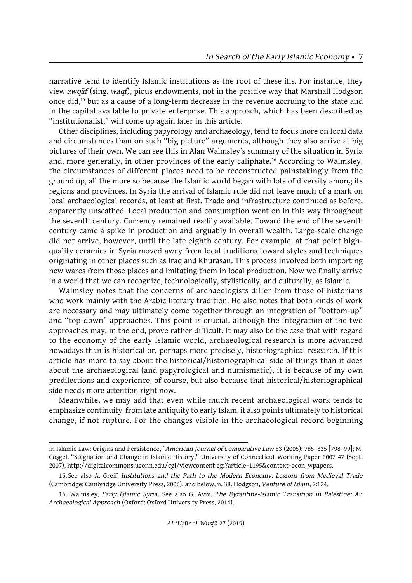narrative tend to identify Islamic institutions as the root of these ills. For instance, they view *awqāf* (sing. *waqf*), pious endowments, not in the positive way that Marshall Hodgson once did,<sup>15</sup> but as a cause of a long-term decrease in the revenue accruing to the state and in the capital available to private enterprise. This approach, which has been described as "institutionalist," will come up again later in this article.

Other disciplines, including papyrology and archaeology, tend to focus more on local data and circumstances than on such "big picture" arguments, although they also arrive at big pictures of their own. We can see this in Alan Walmsley's summary of the situation in Syria and, more generally, in other provinces of the early caliphate.<sup>16</sup> According to Walmsley, the circumstances of different places need to be reconstructed painstakingly from the ground up, all the more so because the Islamic world began with lots of diversity among its regions and provinces. In Syria the arrival of Islamic rule did not leave much of a mark on local archaeological records, at least at first. Trade and infrastructure continued as before, apparently unscathed. Local production and consumption went on in this way throughout the seventh century. Currency remained readily available. Toward the end of the seventh century came a spike in production and arguably in overall wealth. Large-scale change did not arrive, however, until the late eighth century. For example, at that point highquality ceramics in Syria moved away from local traditions toward styles and techniques originating in other places such as Iraq and Khurasan. This process involved both importing new wares from those places and imitating them in local production. Now we finally arrive in a world that we can recognize, technologically, stylistically, and culturally, as Islamic.

Walmsley notes that the concerns of archaeologists differ from those of historians who work mainly with the Arabic literary tradition. He also notes that both kinds of work are necessary and may ultimately come together through an integration of "bottom-up" and "top-down" approaches. This point is crucial, although the integration of the two approaches may, in the end, prove rather difficult. It may also be the case that with regard to the economy of the early Islamic world, archaeological research is more advanced nowadays than is historical or, perhaps more precisely, historiographical research. If this article has more to say about the historical/historiographical side of things than it does about the archaeological (and papyrological and numismatic), it is because of my own predilections and experience, of course, but also because that historical/historiographical side needs more attention right now.

Meanwhile, we may add that even while much recent archaeological work tends to emphasize continuity from late antiquity to early Islam, it also points ultimately to historical change, if not rupture. For the changes visible in the archaeological record beginning

in Islamic Law: Origins and Persistence," *American Journal of Comparative Law* 53 (2005): 785–835 [798–99]; M. Coşgel, "Stagnation and Change in Islamic History," University of Connecticut Working Paper 2007-47 (Sept. 2007), http://digitalcommons.uconn.edu/cgi/viewcontent.cgi?article=1195&context=econ\_wpapers.

<sup>15.</sup> See also A. Greif, *Institutions and the Path to the Modern Economy: Lessons from Medieval Trade* (Cambridge: Cambridge University Press, 2006), and below, n. 38. Hodgson, *Venture of Islam*, 2:124.

<sup>16.</sup> Walmsley, *Early Islamic Syria*. See also G. Avni, *The Byzantine-Islamic Transition in Palestine: An Archaeological Approach* (Oxford: Oxford University Press, 2014).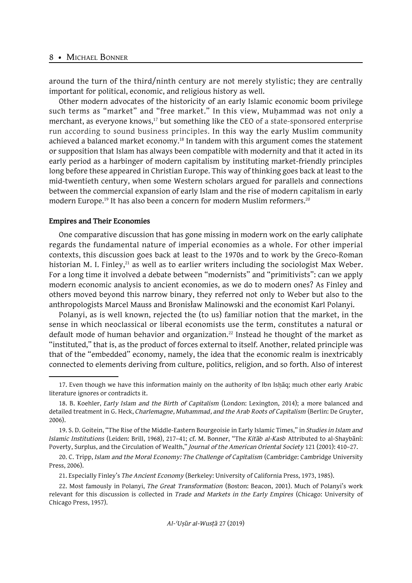around the turn of the third/ninth century are not merely stylistic; they are centrally important for political, economic, and religious history as well.

Other modern advocates of the historicity of an early Islamic economic boom privilege such terms as "market" and "free market." In this view, Muhammad was not only a merchant, as everyone knows,<sup>17</sup> but something like the CEO of a state-sponsored enterprise run according to sound business principles. In this way the early Muslim community achieved a balanced market economy.<sup>18</sup> In tandem with this argument comes the statement or supposition that Islam has always been compatible with modernity and that it acted in its early period as a harbinger of modern capitalism by instituting market-friendly principles long before these appeared in Christian Europe. This way of thinking goes back at least to the mid-twentieth century, when some Western scholars argued for parallels and connections between the commercial expansion of early Islam and the rise of modern capitalism in early modern Europe.<sup>19</sup> It has also been a concern for modern Muslim reformers.<sup>20</sup>

#### **Empires and Their Economies**

One comparative discussion that has gone missing in modern work on the early caliphate regards the fundamental nature of imperial economies as a whole. For other imperial contexts, this discussion goes back at least to the 1970s and to work by the Greco-Roman historian M. I. Finley, $^{21}$  as well as to earlier writers including the sociologist Max Weber. For a long time it involved a debate between "modernists" and "primitivists": can we apply modern economic analysis to ancient economies, as we do to modern ones? As Finley and others moved beyond this narrow binary, they referred not only to Weber but also to the anthropologists Marcel Mauss and Bronisław Malinowski and the economist Karl Polanyi.

Polanyi, as is well known, rejected the (to us) familiar notion that the market, in the sense in which neoclassical or liberal economists use the term, constitutes a natural or default mode of human behavior and organization.<sup>22</sup> Instead he thought of the market as "instituted," that is, as the product of forces external to itself. Another, related principle was that of the "embedded" economy, namely, the idea that the economic realm is inextricably connected to elements deriving from culture, politics, religion, and so forth. Also of interest

21. Especially Finley's *The Ancient Economy* (Berkeley: University of California Press, 1973, 1985).

<sup>17.</sup> Even though we have this information mainly on the authority of Ibn Isḥāq; much other early Arabic literature ignores or contradicts it.

<sup>18.</sup> B. Koehler, *Early Islam and the Birth of Capitalism* (London: Lexington, 2014); a more balanced and detailed treatment in G. Heck, *Charlemagne, Muhammad, and the Arab Roots of Capitalism* (Berlin: De Gruyter, 2006).

<sup>19.</sup> S. D. Goitein, "The Rise of the Middle-Eastern Bourgeoisie in Early Islamic Times," in *Studies in Islam and Islamic Institutions* (Leiden: Brill, 1968), 217–41; cf. M. Bonner, "The *Kitāb al-Kasb* Attributed to al-Shaybānī: Poverty, Surplus, and the Circulation of Wealth," *Journal of the American Oriental Society* 121 (2001): 410–27.

<sup>20.</sup> C. Tripp, *Islam and the Moral Economy: The Challenge of Capitalism* (Cambridge: Cambridge University Press, 2006).

<sup>22.</sup> Most famously in Polanyi, *The Great Transformation* (Boston: Beacon, 2001). Much of Polanyi's work relevant for this discussion is collected in *Trade and Markets in the Early Empires* (Chicago: University of Chicago Press, 1957).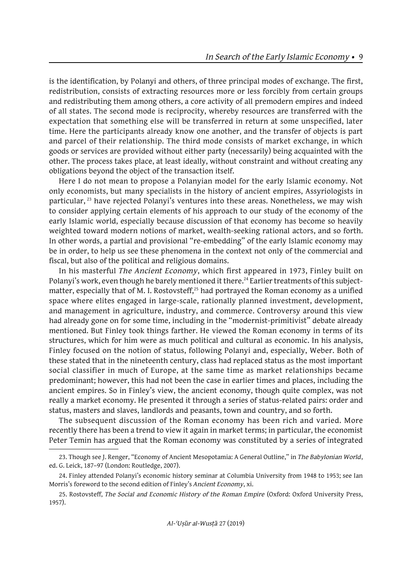is the identification, by Polanyi and others, of three principal modes of exchange. The first, redistribution, consists of extracting resources more or less forcibly from certain groups and redistributing them among others, a core activity of all premodern empires and indeed of all states. The second mode is reciprocity, whereby resources are transferred with the expectation that something else will be transferred in return at some unspecified, later time. Here the participants already know one another, and the transfer of objects is part and parcel of their relationship. The third mode consists of market exchange, in which goods or services are provided without either party (necessarily) being acquainted with the other. The process takes place, at least ideally, without constraint and without creating any obligations beyond the object of the transaction itself.

Here I do not mean to propose a Polanyian model for the early Islamic economy. Not only economists, but many specialists in the history of ancient empires, Assyriologists in particular, <sup>23</sup> have rejected Polanyi's ventures into these areas. Nonetheless, we may wish to consider applying certain elements of his approach to our study of the economy of the early Islamic world, especially because discussion of that economy has become so heavily weighted toward modern notions of market, wealth-seeking rational actors, and so forth. In other words, a partial and provisional "re-embedding" of the early Islamic economy may be in order, to help us see these phenomena in the context not only of the commercial and fiscal, but also of the political and religious domains.

In his masterful *The Ancient Economy*, which first appeared in 1973, Finley built on Polanyi's work, even though he barely mentioned it there.<sup>24</sup> Earlier treatments of this subjectmatter, especially that of M. I. Rostovsteff, $25$  had portrayed the Roman economy as a unified space where elites engaged in large-scale, rationally planned investment, development, and management in agriculture, industry, and commerce. Controversy around this view had already gone on for some time, including in the "modernist-primitivist" debate already mentioned. But Finley took things farther. He viewed the Roman economy in terms of its structures, which for him were as much political and cultural as economic. In his analysis, Finley focused on the notion of status, following Polanyi and, especially, Weber. Both of these stated that in the nineteenth century, class had replaced status as the most important social classifier in much of Europe, at the same time as market relationships became predominant; however, this had not been the case in earlier times and places, including the ancient empires. So in Finley's view, the ancient economy, though quite complex, was not really a market economy. He presented it through a series of status-related pairs: order and status, masters and slaves, landlords and peasants, town and country, and so forth.

The subsequent discussion of the Roman economy has been rich and varied. More recently there has been a trend to view it again in market terms; in particular, the economist Peter Temin has argued that the Roman economy was constituted by a series of integrated

<sup>23.</sup> Though see J. Renger, "Economy of Ancient Mesopotamia: A General Outline," in *The Babylonian World*, ed. G. Leick, 187–97 (London: Routledge, 2007).

<sup>24.</sup> Finley attended Polanyi's economic history seminar at Columbia University from 1948 to 1953; see Ian Morris's foreword to the second edition of Finley's *Ancient Economy*, xi.

<sup>25.</sup> Rostovsteff, *The Social and Economic History of the Roman Empire* (Oxford: Oxford University Press, 1957).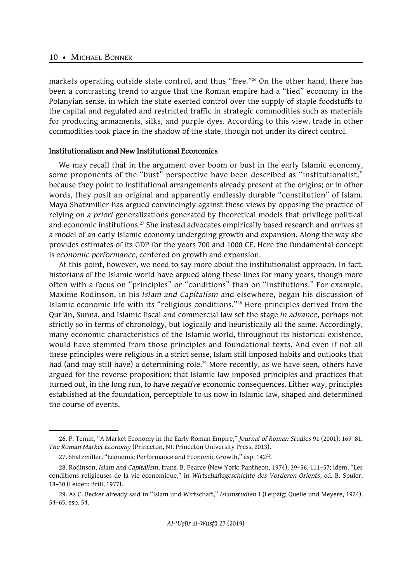markets operating outside state control, and thus "free."<sup>26</sup> On the other hand, there has been a contrasting trend to argue that the Roman empire had a "tied" economy in the Polanyian sense, in which the state exerted control over the supply of staple foodstuffs to the capital and regulated and restricted traffic in strategic commodities such as materials for producing armaments, silks, and purple dyes. According to this view, trade in other commodities took place in the shadow of the state, though not under its direct control.

#### **Institutionalism and New Institutional Economics**

We may recall that in the argument over boom or bust in the early Islamic economy, some proponents of the "bust" perspective have been described as "institutionalist," because they point to institutional arrangements already present at the origins; or in other words, they posit an original and apparently endlessly durable "constitution" of Islam. Maya Shatzmiller has argued convincingly against these views by opposing the practice of relying on *a priori* generalizations generated by theoretical models that privilege political and economic institutions.<sup>27</sup> She instead advocates empirically based research and arrives at a model of an early Islamic economy undergoing growth and expansion. Along the way she provides estimates of its GDP for the years 700 and 1000 CE. Here the fundamental concept is *economic performance*, centered on growth and expansion.

At this point, however, we need to say more about the institutionalist approach. In fact, historians of the Islamic world have argued along these lines for many years, though more often with a focus on "principles" or "conditions" than on "institutions." For example, Maxime Rodinson, in his *Islam and Capitalism* and elsewhere, began his discussion of Islamic economic life with its "religious conditions."28 Here principles derived from the Qurʾān, Sunna, and Islamic fiscal and commercial law set the stage *in advance*, perhaps not strictly so in terms of chronology, but logically and heuristically all the same. Accordingly, many economic characteristics of the Islamic world, throughout its historical existence, would have stemmed from those principles and foundational texts. And even if not all these principles were religious in a strict sense, Islam still imposed habits and outlooks that had (and may still have) a determining role.<sup>29</sup> More recently, as we have seen, others have argued for the reverse proposition: that Islamic law imposed principles and practices that turned out, in the long run, to have *negative* economic consequences. Either way, principles established at the foundation, perceptible to us now in Islamic law, shaped and determined the course of events.

<sup>26.</sup> P. Temin, "A Market Economy in the Early Roman Empire," *Journal of Roman Studies* 91 (2001): 169–81; *The Roman Market Economy* (Princeton, NJ: Princeton University Press, 2013).

<sup>27.</sup> Shatzmiller, "Economic Performance and Economic Growth," esp. 142ff.

<sup>28.</sup> Rodinson, *Islam and Capitalism*, trans. B. Pearce (New York: Pantheon, 1974), 39–56, 111–57; idem, "Les conditions religieuses de la vie économique," in *Wirtschaftsgeschichte des Vorderen Orients*, ed. B. Spuler, 18–30 (Leiden: Brill, 1977).

<sup>29.</sup> As C. Becker already said in "Islam und Wirtschaft," *Islamstudien* I (Leipzig: Quelle und Meyere, 1924), 54–65, esp. 54.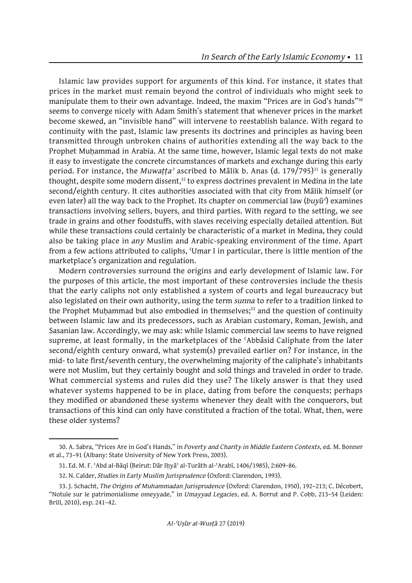Islamic law provides support for arguments of this kind. For instance, it states that prices in the market must remain beyond the control of individuals who might seek to manipulate them to their own advantage. Indeed, the maxim "Prices are in God's hands"<sup>30</sup> seems to converge nicely with Adam Smith's statement that whenever prices in the market become skewed, an "invisible hand" will intervene to reestablish balance. With regard to continuity with the past, Islamic law presents its doctrines and principles as having been transmitted through unbroken chains of authorities extending all the way back to the Prophet Muhammad in Arabia. At the same time, however, Islamic legal texts do not make it easy to investigate the concrete circumstances of markets and exchange during this early period. For instance, the *Muwaṭṭa*' ascribed to Mālik b. Anas (d. 179/795)<sup>31</sup> is generally thought, despite some modern dissent,<sup>32</sup> to express doctrines prevalent in Medina in the late second/eighth century. It cites authorities associated with that city from Mālik himself (or even later) all the way back to the Prophet. Its chapter on commercial law (*buyūʿ*) examines transactions involving sellers, buyers, and third parties. With regard to the setting, we see trade in grains and other foodstuffs, with slaves receiving especially detailed attention. But while these transactions could certainly be characteristic of a market in Medina, they could also be taking place in *any* Muslim and Arabic-speaking environment of the time. Apart from a few actions attributed to caliphs, ʿUmar I in particular, there is little mention of the marketplace's organization and regulation.

Modern controversies surround the origins and early development of Islamic law. For the purposes of this article, the most important of these controversies include the thesis that the early caliphs not only established a system of courts and legal bureaucracy but also legislated on their own authority, using the term *sunna* to refer to a tradition linked to the Prophet Muḥammad but also embodied in themselves;<sup>33</sup> and the question of continuity between Islamic law and its predecessors, such as Arabian customary, Roman, Jewish, and Sasanian law. Accordingly, we may ask: while Islamic commercial law seems to have reigned supreme, at least formally, in the marketplaces of the ʿAbbāsid Caliphate from the later second/eighth century onward, what system(s) prevailed earlier on? For instance, in the mid- to late first/seventh century, the overwhelming majority of the caliphate's inhabitants were not Muslim, but they certainly bought and sold things and traveled in order to trade. What commercial systems and rules did they use? The likely answer is that they used whatever systems happened to be in place, dating from before the conquests; perhaps they modified or abandoned these systems whenever they dealt with the conquerors, but transactions of this kind can only have constituted a fraction of the total. What, then, were these older systems?

<sup>30.</sup> A. Sabra, "Prices Are in God's Hands," in *Poverty and Charity in Middle Eastern Contexts*, ed. M. Bonner et al., 73–91 (Albany: State University of New York Press, 2003).

<sup>31.</sup> Ed. M. F. ʿAbd al-Bāqī (Beirut: Dār Iḥyāʾ al-Turāth al-ʿArabī, 1406/1985), 2:609–86.

<sup>32.</sup> N. Calder, *Studies in Early Muslim Jurisprudence* (Oxford: Clarendon, 1993).

<sup>33.</sup> J. Schacht, *The Origins of Muhammadan Jurisprudence* (Oxford: Clarendon, 1950), 192–213; C. Décobert, "Notule sur le patrimonialisme omeyyade," in *Umayyad Legacies*, ed. A. Borrut and P. Cobb, 213–54 (Leiden: Brill, 2010), esp. 241–42.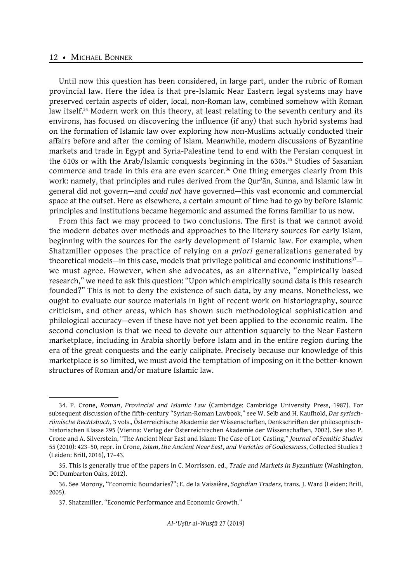Until now this question has been considered, in large part, under the rubric of Roman provincial law. Here the idea is that pre-Islamic Near Eastern legal systems may have preserved certain aspects of older, local, non-Roman law, combined somehow with Roman law itself.<sup>34</sup> Modern work on this theory, at least relating to the seventh century and its environs, has focused on discovering the influence (if any) that such hybrid systems had on the formation of Islamic law over exploring how non-Muslims actually conducted their affairs before and after the coming of Islam. Meanwhile, modern discussions of Byzantine markets and trade in Egypt and Syria-Palestine tend to end with the Persian conquest in the 610s or with the Arab/Islamic conquests beginning in the 630s.<sup>35</sup> Studies of Sasanian commerce and trade in this era are even scarcer.<sup>36</sup> One thing emerges clearly from this work: namely, that principles and rules derived from the Qurʾān, Sunna, and Islamic law in general did not govern—and *could not* have governed—this vast economic and commercial space at the outset. Here as elsewhere, a certain amount of time had to go by before Islamic principles and institutions became hegemonic and assumed the forms familiar to us now.

From this fact we may proceed to two conclusions. The first is that we cannot avoid the modern debates over methods and approaches to the literary sources for early Islam, beginning with the sources for the early development of Islamic law. For example, when Shatzmiller opposes the practice of relying on *a priori* generalizations generated by theoretical models—in this case, models that privilege political and economic institutions $37$ we must agree. However, when she advocates, as an alternative, "empirically based research," we need to ask this question: "Upon which empirically sound data is this research founded?" This is not to deny the existence of such data, by any means. Nonetheless, we ought to evaluate our source materials in light of recent work on historiography, source criticism, and other areas, which has shown such methodological sophistication and philological accuracy—even if these have not yet been applied to the economic realm. The second conclusion is that we need to devote our attention squarely to the Near Eastern marketplace, including in Arabia shortly before Islam and in the entire region during the era of the great conquests and the early caliphate. Precisely because our knowledge of this marketplace is so limited, we must avoid the temptation of imposing on it the better-known structures of Roman and/or mature Islamic law.

<sup>34.</sup> P. Crone, *Roman, Provincial and Islamic Law* (Cambridge: Cambridge University Press, 1987). For subsequent discussion of the fifth-century "Syrian-Roman Lawbook," see W. Selb and H. Kaufhold, *Das syrischrömische Rechtsbuch*, 3 vols., Österreichische Akademie der Wissenschaften, Denkschriften der philosophischhistorischen Klasse 295 (Vienna: Verlag der Österreichischen Akademie der Wissenschaften, 2002). See also P. Crone and A. Silverstein, "The Ancient Near East and Islam: The Case of Lot-Casting," *Journal of Semitic Studies* 55 (2010): 423–50, repr. in Crone, *Islam, the Ancient Near East, and Varieties of Godlessness*, Collected Studies 3 (Leiden: Brill, 2016), 17–43.

<sup>35.</sup> This is generally true of the papers in C. Morrisson, ed., *Trade and Markets in Byzantium* (Washington, DC: Dumbarton Oaks, 2012).

<sup>36.</sup> See Morony, "Economic Boundaries?"; E. de la Vaissière, *Soghdian Traders*, trans. J. Ward (Leiden: Brill, 2005).

<sup>37.</sup> Shatzmiller, "Economic Performance and Economic Growth."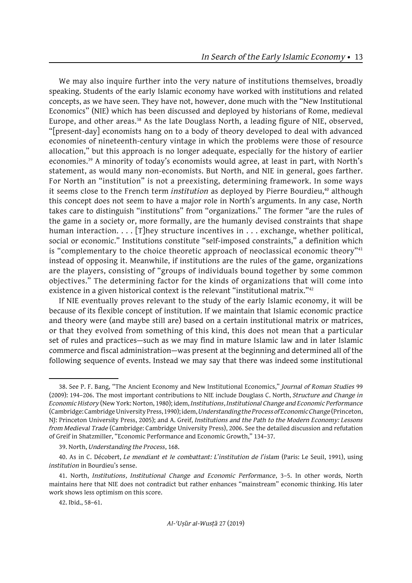We may also inquire further into the very nature of institutions themselves, broadly speaking. Students of the early Islamic economy have worked with institutions and related concepts, as we have seen. They have not, however, done much with the "New Institutional Economics" (NIE) which has been discussed and deployed by historians of Rome, medieval Europe, and other areas.<sup>38</sup> As the late Douglass North, a leading figure of NIE, observed, "[present-day] economists hang on to a body of theory developed to deal with advanced economies of nineteenth-century vintage in which the problems were those of resource allocation," but this approach is no longer adequate, especially for the history of earlier economies.39 A minority of today's economists would agree, at least in part, with North's statement, as would many non-economists. But North, and NIE in general, goes farther. For North an "institution" is not a preexisting, determining framework. In some ways it seems close to the French term *institution* as deployed by Pierre Bourdieu,<sup>40</sup> although this concept does not seem to have a major role in North's arguments. In any case, North takes care to distinguish "institutions" from "organizations." The former "are the rules of the game in a society or, more formally, are the humanly devised constraints that shape human interaction. . . . [T]hey structure incentives in . . . exchange, whether political, social or economic." Institutions constitute "self-imposed constraints," a definition which is "complementary to the choice theoretic approach of neoclassical economic theory"<sup>41</sup> instead of opposing it. Meanwhile, if institutions are the rules of the game, organizations are the players, consisting of "groups of individuals bound together by some common objectives." The determining factor for the kinds of organizations that will come into existence in a given historical context is the relevant "institutional matrix."<sup>42</sup>

If NIE eventually proves relevant to the study of the early Islamic economy, it will be because of its flexible concept of institution. If we maintain that Islamic economic practice and theory were (and maybe still are) based on a certain institutional matrix or matrices, or that they evolved from something of this kind, this does not mean that a particular set of rules and practices—such as we may find in mature Islamic law and in later Islamic commerce and fiscal administration—was present at the beginning and determined all of the following sequence of events. Instead we may say that there was indeed some institutional

<sup>38.</sup> See P. F. Bang, "The Ancient Economy and New Institutional Economics," *Journal of Roman Studies* 99 (2009): 194–206. The most important contributions to NIE include Douglass C. North, *Structure and Change in Economic History* (New York: Norton, 1980); idem, *Institutions, Institutional Change and Economic Performance* (Cambridge: Cambridge University Press, 1990); idem, *Understanding the Process of Economic Change* (Princeton, NJ: Princeton University Press, 2005); and A. Greif, *Institutions and the Path to the Modern Economy: Lessons from Medieval Trade* (Cambridge: Cambridge University Press), 2006. See the detailed discussion and refutation of Greif in Shatzmiller, "Economic Performance and Economic Growth," 134–37*.*

<sup>39.</sup> North, *Understanding the Process*, 168.

<sup>40.</sup> As in C. Décobert, *Le mendiant et le combattant: L'institution de l'islam* (Paris: Le Seuil, 1991), using *institution* in Bourdieu's sense.

<sup>41.</sup> North, *Institutions, Institutional Change and Economic Performance*, 3–5. In other words, North maintains here that NIE does not contradict but rather enhances "mainstream" economic thinking. His later work shows less optimism on this score.

<sup>42.</sup> Ibid., 58–61.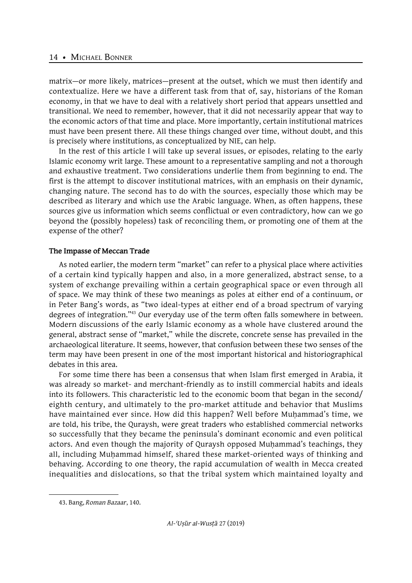matrix—or more likely, matrices—present at the outset, which we must then identify and contextualize. Here we have a different task from that of, say, historians of the Roman economy, in that we have to deal with a relatively short period that appears unsettled and transitional. We need to remember, however, that it did not necessarily appear that way to the economic actors of that time and place. More importantly, certain institutional matrices must have been present there. All these things changed over time, without doubt, and this is precisely where institutions, as conceptualized by NIE, can help.

In the rest of this article I will take up several issues, or episodes, relating to the early Islamic economy writ large. These amount to a representative sampling and not a thorough and exhaustive treatment. Two considerations underlie them from beginning to end. The first is the attempt to discover institutional matrices, with an emphasis on their dynamic, changing nature. The second has to do with the sources, especially those which may be described as literary and which use the Arabic language. When, as often happens, these sources give us information which seems conflictual or even contradictory, how can we go beyond the (possibly hopeless) task of reconciling them, or promoting one of them at the expense of the other?

# **The Impasse of Meccan Trade**

As noted earlier, the modern term "market" can refer to a physical place where activities of a certain kind typically happen and also, in a more generalized, abstract sense, to a system of exchange prevailing within a certain geographical space or even through all of space. We may think of these two meanings as poles at either end of a continuum, or in Peter Bang's words, as "two ideal-types at either end of a broad spectrum of varying degrees of integration."43 Our everyday use of the term often falls somewhere in between. Modern discussions of the early Islamic economy as a whole have clustered around the general, abstract sense of "market," while the discrete, concrete sense has prevailed in the archaeological literature. It seems, however, that confusion between these two senses of the term may have been present in one of the most important historical and historiographical debates in this area.

For some time there has been a consensus that when Islam first emerged in Arabia, it was already so market- and merchant-friendly as to instill commercial habits and ideals into its followers. This characteristic led to the economic boom that began in the second/ eighth century, and ultimately to the pro-market attitude and behavior that Muslims have maintained ever since. How did this happen? Well before Muḥammad's time, we are told, his tribe, the Quraysh, were great traders who established commercial networks so successfully that they became the peninsula's dominant economic and even political actors. And even though the majority of Quraysh opposed Muhammad's teachings, they all, including Muhammad himself, shared these market-oriented ways of thinking and behaving. According to one theory, the rapid accumulation of wealth in Mecca created inequalities and dislocations, so that the tribal system which maintained loyalty and

<sup>43.</sup> Bang, *Roman Bazaar*, 140.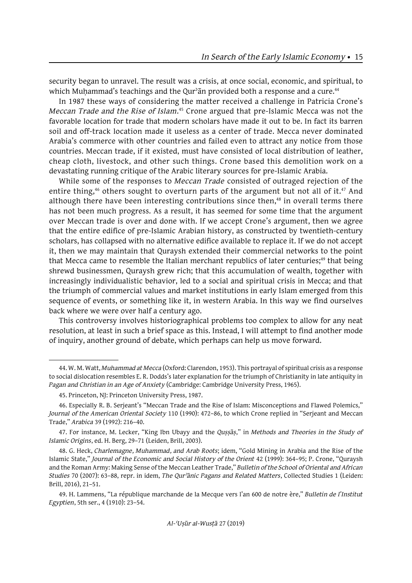security began to unravel. The result was a crisis, at once social, economic, and spiritual, to which Muhammad's teachings and the Qur'an provided both a response and a cure.<sup>44</sup>

In 1987 these ways of considering the matter received a challenge in Patricia Crone's *Meccan Trade and the Rise of Islam*. 45 Crone argued that pre-Islamic Mecca was not the favorable location for trade that modern scholars have made it out to be. In fact its barren soil and off-track location made it useless as a center of trade. Mecca never dominated Arabia's commerce with other countries and failed even to attract any notice from those countries. Meccan trade, if it existed, must have consisted of local distribution of leather, cheap cloth, livestock, and other such things. Crone based this demolition work on a devastating running critique of the Arabic literary sources for pre-Islamic Arabia.

While some of the responses to *Meccan Trade* consisted of outraged rejection of the entire thing,<sup>46</sup> others sought to overturn parts of the argument but not all of it.<sup>47</sup> And although there have been interesting contributions since then,<sup>48</sup> in overall terms there has not been much progress. As a result, it has seemed for some time that the argument over Meccan trade is over and done with. If we accept Crone's argument, then we agree that the entire edifice of pre-Islamic Arabian history, as constructed by twentieth-century scholars, has collapsed with no alternative edifice available to replace it. If we do not accept it, then we may maintain that Quraysh extended their commercial networks to the point that Mecca came to resemble the Italian merchant republics of later centuries;<sup>49</sup> that being shrewd businessmen, Quraysh grew rich; that this accumulation of wealth, together with increasingly individualistic behavior, led to a social and spiritual crisis in Mecca; and that the triumph of commercial values and market institutions in early Islam emerged from this sequence of events, or something like it, in western Arabia. In this way we find ourselves back where we were over half a century ago.

This controversy involves historiographical problems too complex to allow for any neat resolution, at least in such a brief space as this. Instead, I will attempt to find another mode of inquiry, another ground of debate, which perhaps can help us move forward.

<sup>44.</sup> W. M. Watt, *Muhammad at Mecca* (Oxford: Clarendon, 1953). This portrayal of spiritual crisis as a response to social dislocation resembles E. R. Dodds's later explanation for the triumph of Christianity in late antiquity in *Pagan and Christian in an Age of Anxiety* (Cambridge: Cambridge University Press, 1965).

<sup>45.</sup> Princeton, NJ: Princeton University Press, 1987.

<sup>46.</sup> Especially R. B. Serjeant's "Meccan Trade and the Rise of Islam: Misconceptions and Flawed Polemics," *Journal of the American Oriental Society* 110 (1990): 472–86, to which Crone replied in "Serjeant and Meccan Trade," *Arabica* 39 (1992): 216–40.

<sup>47.</sup> For instance, M. Lecker, "King Ibn Ubayy and the *Quṣṣāṣ*," in *Methods and Theories in the Study of Islamic Origins*, ed. H. Berg, 29–71 (Leiden, Brill, 2003).

<sup>48.</sup> G. Heck, *Charlemagne, Muhammad, and Arab Roots*; idem, "Gold Mining in Arabia and the Rise of the Islamic State," *Journal of the Economic and Social History of the Orient* 42 (1999): 364–95; P. Crone, "Quraysh and the Roman Army: Making Sense of the Meccan Leather Trade," *Bulletin of the School of Oriental and African Studies* 70 (2007): 63–88, repr. in idem, *The Qurʾānic Pagans and Related Matters*, Collected Studies 1 (Leiden: Brill, 2016), 21–51.

<sup>49.</sup> H. Lammens, "La république marchande de la Mecque vers l'an 600 de notre ère," *Bulletin de l'Institut Egyptien*, 5th ser., 4 (1910): 23–54.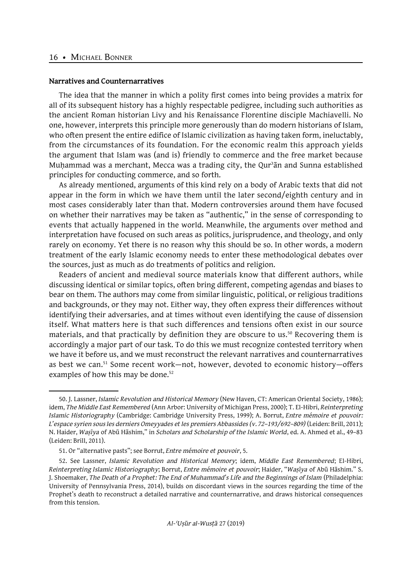#### **Narratives and Counternarratives**

The idea that the manner in which a polity first comes into being provides a matrix for all of its subsequent history has a highly respectable pedigree, including such authorities as the ancient Roman historian Livy and his Renaissance Florentine disciple Machiavelli. No one, however, interprets this principle more generously than do modern historians of Islam, who often present the entire edifice of Islamic civilization as having taken form, ineluctably, from the circumstances of its foundation. For the economic realm this approach yields the argument that Islam was (and is) friendly to commerce and the free market because Muhammad was a merchant, Mecca was a trading city, the Qur'an and Sunna established principles for conducting commerce, and so forth.

As already mentioned, arguments of this kind rely on a body of Arabic texts that did not appear in the form in which we have them until the later second/eighth century and in most cases considerably later than that. Modern controversies around them have focused on whether their narratives may be taken as "authentic," in the sense of corresponding to events that actually happened in the world. Meanwhile, the arguments over method and interpretation have focused on such areas as politics, jurisprudence, and theology, and only rarely on economy. Yet there is no reason why this should be so. In other words, a modern treatment of the early Islamic economy needs to enter these methodological debates over the sources, just as much as do treatments of politics and religion.

Readers of ancient and medieval source materials know that different authors, while discussing identical or similar topics, often bring different, competing agendas and biases to bear on them. The authors may come from similar linguistic, political, or religious traditions and backgrounds, or they may not. Either way, they often express their differences without identifying their adversaries, and at times without even identifying the cause of dissension itself. What matters here is that such differences and tensions often exist in our source materials, and that practically by definition they are obscure to us.<sup>50</sup> Recovering them is accordingly a major part of our task. To do this we must recognize contested territory when we have it before us, and we must reconstruct the relevant narratives and counternarratives as best we can.<sup>51</sup> Some recent work—not, however, devoted to economic history—offers examples of how this may be done.<sup>52</sup>

<sup>50.</sup> J. Lassner, *Islamic Revolution and Historical Memory* (New Haven, CT: American Oriental Society, 1986); idem, *The Middle East Remembered* (Ann Arbor: University of Michigan Press, 2000); T. El-Hibri, *Reinterpreting Islamic Historiography* (Cambridge: Cambridge University Press, 1999); A. Borrut, *Entre mémoire et pouvoir: L'espace syrien sous les derniers Omeyyades et les premiers Abbassides (v. 72–193/692–809)* (Leiden: Brill, 2011); N. Haider, *Waṣīya* of Abū Hāshim," in *Scholars and Scholarship of the Islamic World*, ed. A. Ahmed et al., 49–83 (Leiden: Brill, 2011).

<sup>51.</sup> Or "alternative pasts"; see Borrut, *Entre mémoire et pouvoir*, 5.

<sup>52.</sup> See Lassner, *Islamic Revolution and Historical Memory*; idem, *Middle East Remembered*; El-Hibri, *Reinterpreting Islamic Historiography*; Borrut, *Entre mémoire et pouvoir*; Haider, "*Waṣīya* of Abū Hāshim." S. J. Shoemaker, *The Death of a Prophet: The End of Muhammad's Life and the Beginnings of Islam* (Philadelphia: University of Pennsylvania Press, 2014), builds on discordant views in the sources regarding the time of the Prophet's death to reconstruct a detailed narrative and counternarrative, and draws historical consequences from this tension.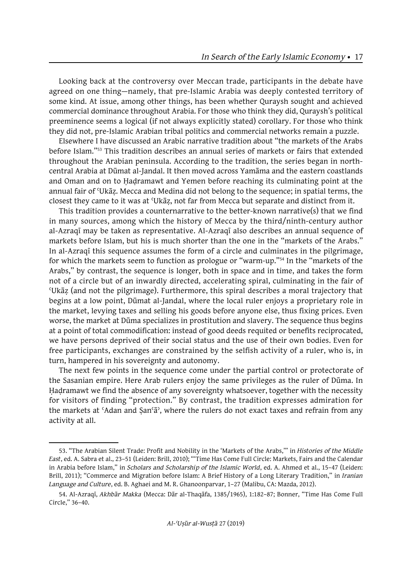Looking back at the controversy over Meccan trade, participants in the debate have agreed on one thing—namely, that pre-Islamic Arabia was deeply contested territory of some kind. At issue, among other things, has been whether Quraysh sought and achieved commercial dominance throughout Arabia. For those who think they did, Quraysh's political preeminence seems a logical (if not always explicitly stated) corollary. For those who think they did not, pre-Islamic Arabian tribal politics and commercial networks remain a puzzle.

Elsewhere I have discussed an Arabic narrative tradition about "the markets of the Arabs before Islam."53 This tradition describes an annual series of markets or fairs that extended throughout the Arabian peninsula. According to the tradition, the series began in northcentral Arabia at Dūmat al-Jandal. It then moved across Yamāma and the eastern coastlands and Oman and on to Ḥaḍramawt and Yemen before reaching its culminating point at the annual fair of ʿUkāẓ. Mecca and Medina did not belong to the sequence; in spatial terms, the closest they came to it was at ʿUkāẓ, not far from Mecca but separate and distinct from it.

This tradition provides a counternarrative to the better-known narrative(s) that we find in many sources, among which the history of Mecca by the third/ninth-century author al-Azraqī may be taken as representative. Al-Azraqī also describes an annual sequence of markets before Islam, but his is much shorter than the one in the "markets of the Arabs." In al-Azraqī this sequence assumes the form of a circle and culminates in the pilgrimage, for which the markets seem to function as prologue or "warm-up."54 In the "markets of the Arabs," by contrast, the sequence is longer, both in space and in time, and takes the form not of a circle but of an inwardly directed, accelerating spiral, culminating in the fair of ʿUkāẓ (and not the pilgrimage). Furthermore, this spiral describes a moral trajectory that begins at a low point, Dūmat al-Jandal, where the local ruler enjoys a proprietary role in the market, levying taxes and selling his goods before anyone else, thus fixing prices. Even worse, the market at Dūma specializes in prostitution and slavery. The sequence thus begins at a point of total commodification: instead of good deeds requited or benefits reciprocated, we have persons deprived of their social status and the use of their own bodies. Even for free participants, exchanges are constrained by the selfish activity of a ruler, who is, in turn, hampered in his sovereignty and autonomy.

The next few points in the sequence come under the partial control or protectorate of the Sasanian empire. Here Arab rulers enjoy the same privileges as the ruler of Dūma. In Ḥaḍramawt we find the absence of any sovereignty whatsoever, together with the necessity for visitors of finding "protection." By contrast, the tradition expresses admiration for the markets at ʿAdan and Ṣanʿāʾ, where the rulers do not exact taxes and refrain from any activity at all.

<sup>53.</sup> "The Arabian Silent Trade: Profit and Nobility in the 'Markets of the Arabs,'" in *Histories of the Middle East*, ed. A. Sabra et al., 23–51 (Leiden: Brill, 2010); "'Time Has Come Full Circle: Markets, Fairs and the Calendar in Arabia before Islam," in *Scholars and Scholarship of the Islamic World*, ed. A. Ahmed et al., 15–47 (Leiden: Brill, 2011); "Commerce and Migration before Islam: A Brief History of a Long Literary Tradition," in *Iranian Language and Culture*, ed. B. Aghaei and M. R. Ghanoonparvar, 1–27 (Malibu, CA: Mazda, 2012).

<sup>54.</sup> Al-Azraqī, *Akhbār Makka* (Mecca: Dār al-Thaqāfa, 1385/1965), 1:182–87; Bonner, "Time Has Come Full Circle," 36–40.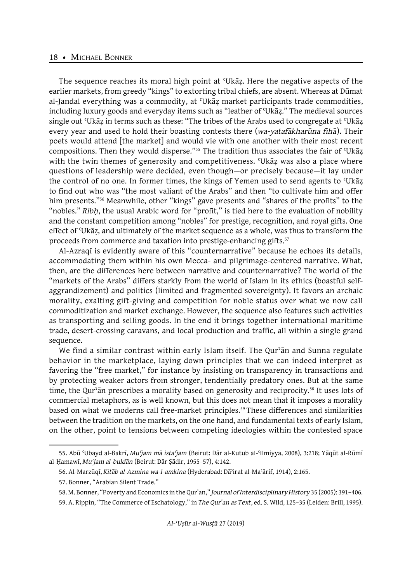The sequence reaches its moral high point at ʿUkāẓ. Here the negative aspects of the earlier markets, from greedy "kings" to extorting tribal chiefs, are absent. Whereas at Dūmat al-Jandal everything was a commodity, at ʿUkāẓ market participants trade commodities, including luxury goods and everyday items such as "leather of ʿUkāẓ." The medieval sources single out 'Ukāz in terms such as these: "The tribes of the Arabs used to congregate at 'Ukāz every year and used to hold their boasting contests there (*wa-yatafākharūna fīhā*). Their poets would attend [the market] and would vie with one another with their most recent compositions. Then they would disperse."55 The tradition thus associates the fair of ʿUkāẓ with the twin themes of generosity and competitiveness. 'Ukaz was also a place where questions of leadership were decided, even though—or precisely because—it lay under the control of no one. In former times, the kings of Yemen used to send agents to ʿUkāẓ to find out who was "the most valiant of the Arabs" and then "to cultivate him and offer him presents."56 Meanwhile, other "kings" gave presents and "shares of the profits" to the "nobles." *Ribḥ*, the usual Arabic word for "profit," is tied here to the evaluation of nobility and the constant competition among "nobles" for prestige, recognition, and royal gifts. One effect of ʿUkāẓ, and ultimately of the market sequence as a whole, was thus to transform the proceeds from commerce and taxation into prestige-enhancing gifts.<sup>57</sup>

Al-Azraqī is evidently aware of this "counternarrative" because he echoes its details, accommodating them within his own Mecca- and pilgrimage-centered narrative. What, then, are the differences here between narrative and counternarrative? The world of the "markets of the Arabs" differs starkly from the world of Islam in its ethics (boastful selfaggrandizement) and politics (limited and fragmented sovereignty). It favors an archaic morality, exalting gift-giving and competition for noble status over what we now call commoditization and market exchange. However, the sequence also features such activities as transporting and selling goods. In the end it brings together international maritime trade, desert-crossing caravans, and local production and traffic, all within a single grand sequence.

We find a similar contrast within early Islam itself. The Qur'an and Sunna regulate behavior in the marketplace, laying down principles that we can indeed interpret as favoring the "free market," for instance by insisting on transparency in transactions and by protecting weaker actors from stronger, tendentially predatory ones. But at the same time, the Qur'an prescribes a morality based on generosity and reciprocity.<sup>58</sup> It uses lots of commercial metaphors, as is well known, but this does not mean that it imposes a morality based on what we moderns call free-market principles.<sup>59</sup> These differences and similarities between the tradition on the markets, on the one hand, and fundamental texts of early Islam, on the other, point to tensions between competing ideologies within the contested space

<sup>55.</sup> Abū ʿUbayd al-Bakrī, *Muʿjam mā istaʿjam* (Beirut: Dār al-Kutub al-ʿIlmiyya, 2008), 3:218; Yāqūt al-Rūmī al-Ḥamawī, *Muʿjam al-buldān* (Beirut: Dār Ṣādir, 1955–57), 4:142.

<sup>56.</sup> Al-Marzūqī, *Kitāb al-Azmina wa-l-amkina* (Hyderabad: Dāʾirat al-Maʿārif, 1914), 2:165.

<sup>57.</sup> Bonner, "Arabian Silent Trade."

<sup>58.</sup> M. Bonner, "Poverty and Economics in the Qur'an," *Journal of Interdisciplinary History* 35 (2005): 391–406. 59. A. Rippin, "The Commerce of Eschatology," in *The Qur'an as Text*, ed. S. Wild, 125–35 (Leiden: Brill, 1995).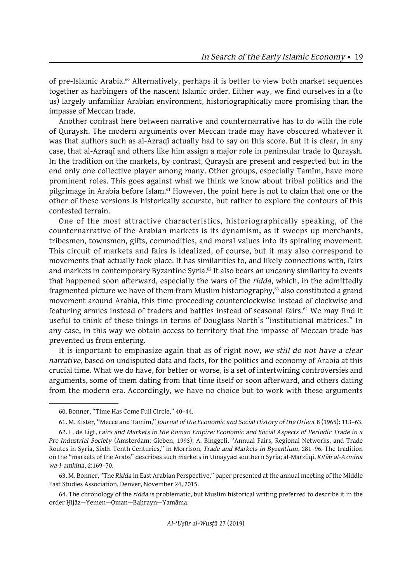of pre-Islamic Arabia.<sup>60</sup> Alternatively, perhaps it is better to view both market sequences together as harbingers of the nascent Islamic order. Either way, we find ourselves in a (to us) largely unfamiliar Arabian environment, historiographically more promising than the impasse of Meccan trade.

Another contrast here between narrative and counternarrative has to do with the role of Quraysh. The modern arguments over Meccan trade may have obscured whatever it was that authors such as al-Azraqī actually had to say on this score. But it is clear, in any case, that al-Azraqī and others like him assign a major role in peninsular trade to Quraysh. In the tradition on the markets, by contrast, Quraysh are present and respected but in the end only one collective player among many. Other groups, especially Tamīm, have more prominent roles. This goes against what we think we know about tribal politics and the pilgrimage in Arabia before Islam.<sup>61</sup> However, the point here is not to claim that one or the other of these versions is historically accurate, but rather to explore the contours of this contested terrain.

One of the most attractive characteristics, historiographically speaking, of the counternarrative of the Arabian markets is its dynamism, as it sweeps up merchants, tribesmen, townsmen, gifts, commodities, and moral values into its spiraling movement. This circuit of markets and fairs is idealized, of course, but it may also correspond to movements that actually took place. It has similarities to, and likely connections with, fairs and markets in contemporary Byzantine Syria.<sup>62</sup> It also bears an uncanny similarity to events that happened soon afterward, especially the wars of the *ridda*, which, in the admittedly fragmented picture we have of them from Muslim historiography,<sup>63</sup> also constituted a grand movement around Arabia, this time proceeding counterclockwise instead of clockwise and featuring armies instead of traders and battles instead of seasonal fairs.<sup>64</sup> We may find it useful to think of these things in terms of Douglass North's "institutional matrices." In any case, in this way we obtain access to territory that the impasse of Meccan trade has prevented us from entering.

It is important to emphasize again that as of right now, *we still do not have a clear narrative*, based on undisputed data and facts, for the politics and economy of Arabia at this crucial time. What we do have, for better or worse, is a set of intertwining controversies and arguments, some of them dating from that time itself or soon afterward, and others dating from the modern era. Accordingly, we have no choice but to work with these arguments

<sup>60.</sup> Bonner, "Time Has Come Full Circle," 40–44.

<sup>61.</sup> M. Kister, "Mecca and Tamīm," *Journal of the Economic and Social History of the Orient* 8 (1965): 113–63.

<sup>62.</sup> L. de Ligt, *Fairs and Markets in the Roman Empire: Economic and Social Aspects of Periodic Trade in a Pre-Industrial Society* (Amsterdam: Gieben, 1993); A. Binggeli, "Annual Fairs, Regional Networks, and Trade Routes in Syria, Sixth-Tenth Centuries," in Morrison, *Trade and Markets in Byzantium*, 281–96. The tradition on the "markets of the Arabs" describes such markets in Umayyad southern Syria; al-Marzūqī, *Kitāb al-Azmina wa-l-amkina*, 2:169–70.

<sup>63.</sup> M. Bonner, "The *Ridda* in East Arabian Perspective," paper presented at the annual meeting of the Middle East Studies Association, Denver, November 24, 2015.

<sup>64.</sup> The chronology of the *ridda* is problematic, but Muslim historical writing preferred to describe it in the order Hijāz—Yemen—Oman—Bahrayn—Yamāma.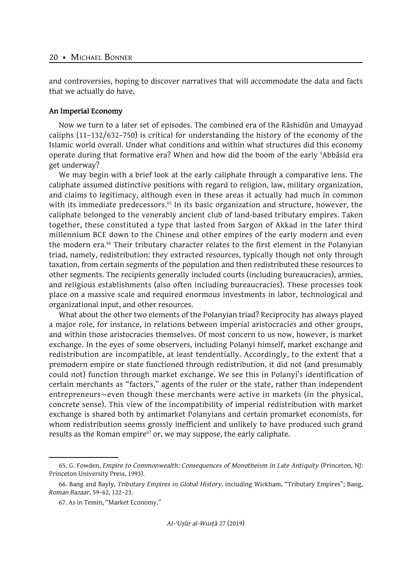and controversies, hoping to discover narratives that will accommodate the data and facts that we actually do have.

#### **An Imperial Economy**

Now we turn to a later set of episodes. The combined era of the Rāshidūn and Umayyad caliphs (11–132/632–750) is critical for understanding the history of the economy of the Islamic world overall. Under what conditions and within what structures did this economy operate during that formative era? When and how did the boom of the early ʿAbbāsid era get underway?

We may begin with a brief look at the early caliphate through a comparative lens. The caliphate assumed distinctive positions with regard to religion, law, military organization, and claims to legitimacy, although even in these areas it actually had much in common with its immediate predecessors.<sup>65</sup> In its basic organization and structure, however, the caliphate belonged to the venerably ancient club of land-based tributary empires. Taken together, these constituted a type that lasted from Sargon of Akkad in the later third millennium BCE down to the Chinese and other empires of the early modern and even the modern era.<sup>66</sup> Their tributary character relates to the first element in the Polanyian triad, namely, redistribution: they extracted resources, typically though not only through taxation, from certain segments of the population and then redistributed these resources to other segments. The recipients generally included courts (including bureaucracies), armies, and religious establishments (also often including bureaucracies). These processes took place on a massive scale and required enormous investments in labor, technological and organizational input, and other resources.

What about the other two elements of the Polanyian triad? Reciprocity has always played a major role, for instance, in relations between imperial aristocracies and other groups, and within those aristocracies themselves. Of most concern to us now, however, is market exchange. In the eyes of some observers, including Polanyi himself, market exchange and redistribution are incompatible, at least tendentially. Accordingly, to the extent that a premodern empire or state functioned through redistribution, it did not (and presumably could not) function through market exchange. We see this in Polanyi's identification of certain merchants as "factors," agents of the ruler or the state, rather than independent entrepreneurs—even though these merchants were active in markets (in the physical, concrete sense). This view of the incompatibility of imperial redistribution with market exchange is shared both by antimarket Polanyians and certain promarket economists, for whom redistribution seems grossly inefficient and unlikely to have produced such grand results as the Roman empire $67$  or, we may suppose, the early caliphate.

<sup>65.</sup> G. Fowden, *Empire to Commonwealth: Consequences of Monotheism in Late Antiquity* (Princeton, NJ: Princeton University Press, 1993).

<sup>66.</sup> Bang and Bayly, *Tributary Empires in Global History*, including Wickham, "Tributary Empires"; Bang, *Roman Bazaar*, 59–62, 122–23.

<sup>67.</sup> As in Temin, "Market Economy."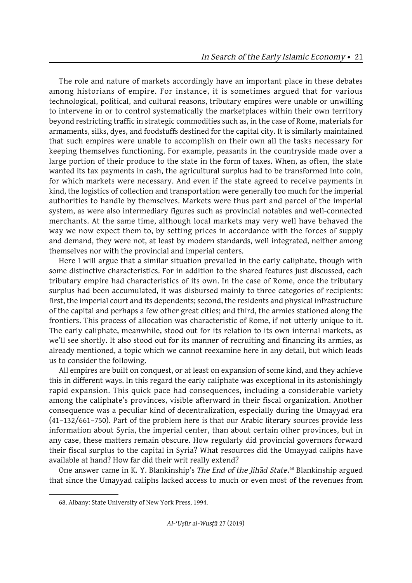The role and nature of markets accordingly have an important place in these debates among historians of empire. For instance, it is sometimes argued that for various technological, political, and cultural reasons, tributary empires were unable or unwilling to intervene in or to control systematically the marketplaces within their own territory beyond restricting traffic in strategic commodities such as, in the case of Rome, materials for armaments, silks, dyes, and foodstuffs destined for the capital city. It is similarly maintained that such empires were unable to accomplish on their own all the tasks necessary for keeping themselves functioning. For example, peasants in the countryside made over a large portion of their produce to the state in the form of taxes. When, as often, the state wanted its tax payments in cash, the agricultural surplus had to be transformed into coin, for which markets were necessary. And even if the state agreed to receive payments in kind, the logistics of collection and transportation were generally too much for the imperial authorities to handle by themselves. Markets were thus part and parcel of the imperial system, as were also intermediary figures such as provincial notables and well-connected merchants. At the same time, although local markets may very well have behaved the way we now expect them to, by setting prices in accordance with the forces of supply and demand, they were not, at least by modern standards, well integrated, neither among themselves nor with the provincial and imperial centers.

Here I will argue that a similar situation prevailed in the early caliphate, though with some distinctive characteristics. For in addition to the shared features just discussed, each tributary empire had characteristics of its own. In the case of Rome, once the tributary surplus had been accumulated, it was disbursed mainly to three categories of recipients: first, the imperial court and its dependents; second, the residents and physical infrastructure of the capital and perhaps a few other great cities; and third, the armies stationed along the frontiers. This process of allocation was characteristic of Rome, if not utterly unique to it. The early caliphate, meanwhile, stood out for its relation to its own internal markets, as we'll see shortly. It also stood out for its manner of recruiting and financing its armies, as already mentioned, a topic which we cannot reexamine here in any detail, but which leads us to consider the following.

All empires are built on conquest, or at least on expansion of some kind, and they achieve this in different ways. In this regard the early caliphate was exceptional in its astonishingly rapid expansion. This quick pace had consequences, including a considerable variety among the caliphate's provinces, visible afterward in their fiscal organization. Another consequence was a peculiar kind of decentralization, especially during the Umayyad era (41–132/661–750). Part of the problem here is that our Arabic literary sources provide less information about Syria, the imperial center, than about certain other provinces, but in any case, these matters remain obscure. How regularly did provincial governors forward their fiscal surplus to the capital in Syria? What resources did the Umayyad caliphs have available at hand? How far did their writ really extend?

One answer came in K. Y. Blankinship's *The End of the Jihād State*. 68 Blankinship argued that since the Umayyad caliphs lacked access to much or even most of the revenues from

<sup>68.</sup> Albany: State University of New York Press, 1994.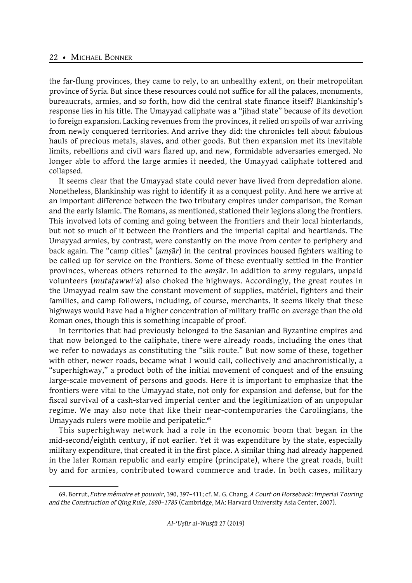the far-flung provinces, they came to rely, to an unhealthy extent, on their metropolitan province of Syria. But since these resources could not suffice for all the palaces, monuments, bureaucrats, armies, and so forth, how did the central state finance itself? Blankinship's response lies in his title. The Umayyad caliphate was a "jihad state" because of its devotion to foreign expansion. Lacking revenues from the provinces, it relied on spoils of war arriving from newly conquered territories. And arrive they did: the chronicles tell about fabulous hauls of precious metals, slaves, and other goods. But then expansion met its inevitable limits, rebellions and civil wars flared up, and new, formidable adversaries emerged. No longer able to afford the large armies it needed, the Umayyad caliphate tottered and collapsed.

It seems clear that the Umayyad state could never have lived from depredation alone. Nonetheless, Blankinship was right to identify it as a conquest polity. And here we arrive at an important difference between the two tributary empires under comparison, the Roman and the early Islamic. The Romans, as mentioned, stationed their legions along the frontiers. This involved lots of coming and going between the frontiers and their local hinterlands, but not so much of it between the frontiers and the imperial capital and heartlands. The Umayyad armies, by contrast, were constantly on the move from center to periphery and back again. The "camp cities" (*amṣār*) in the central provinces housed fighters waiting to be called up for service on the frontiers. Some of these eventually settled in the frontier provinces, whereas others returned to the *amṣār*. In addition to army regulars, unpaid volunteers (*mutaṭawwiʿa*) also choked the highways. Accordingly, the great routes in the Umayyad realm saw the constant movement of supplies, matériel, fighters and their families, and camp followers, including, of course, merchants. It seems likely that these highways would have had a higher concentration of military traffic on average than the old Roman ones, though this is something incapable of proof.

In territories that had previously belonged to the Sasanian and Byzantine empires and that now belonged to the caliphate, there were already roads, including the ones that we refer to nowadays as constituting the "silk route." But now some of these, together with other, newer roads, became what I would call, collectively and anachronistically, a "superhighway," a product both of the initial movement of conquest and of the ensuing large-scale movement of persons and goods. Here it is important to emphasize that the frontiers were vital to the Umayyad state, not only for expansion and defense, but for the fiscal survival of a cash-starved imperial center and the legitimization of an unpopular regime. We may also note that like their near-contemporaries the Carolingians, the Umayyads rulers were mobile and peripatetic.<sup>69</sup>

This superhighway network had a role in the economic boom that began in the mid-second/eighth century, if not earlier. Yet it was expenditure by the state, especially military expenditure, that created it in the first place. A similar thing had already happened in the later Roman republic and early empire (principate), where the great roads, built by and for armies, contributed toward commerce and trade. In both cases, military

<sup>69.</sup> Borrut, *Entre mémoire et pouvoir*, 390, 397–411; cf. M. G. Chang, *A Court on Horseback: Imperial Touring and the Construction of Qing Rule, 1680–1785* (Cambridge, MA: Harvard University Asia Center, 2007).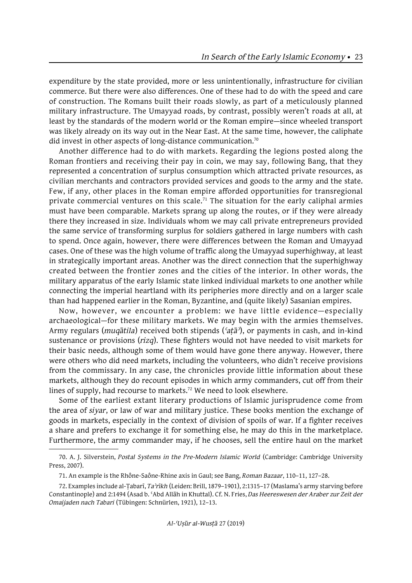expenditure by the state provided, more or less unintentionally, infrastructure for civilian commerce. But there were also differences. One of these had to do with the speed and care of construction. The Romans built their roads slowly, as part of a meticulously planned military infrastructure. The Umayyad roads, by contrast, possibly weren't roads at all, at least by the standards of the modern world or the Roman empire—since wheeled transport was likely already on its way out in the Near East. At the same time, however, the caliphate did invest in other aspects of long-distance communication.70

Another difference had to do with markets. Regarding the legions posted along the Roman frontiers and receiving their pay in coin, we may say, following Bang, that they represented a concentration of surplus consumption which attracted private resources, as civilian merchants and contractors provided services and goods to the army and the state. Few, if any, other places in the Roman empire afforded opportunities for transregional private commercial ventures on this scale.<sup>71</sup> The situation for the early caliphal armies must have been comparable. Markets sprang up along the routes, or if they were already there they increased in size. Individuals whom we may call private entrepreneurs provided the same service of transforming surplus for soldiers gathered in large numbers with cash to spend. Once again, however, there were differences between the Roman and Umayyad cases. One of these was the high volume of traffic along the Umayyad superhighway, at least in strategically important areas. Another was the direct connection that the superhighway created between the frontier zones and the cities of the interior. In other words, the military apparatus of the early Islamic state linked individual markets to one another while connecting the imperial heartland with its peripheries more directly and on a larger scale than had happened earlier in the Roman, Byzantine, and (quite likely) Sasanian empires.

Now, however, we encounter a problem: we have little evidence—especially archaeological—for these military markets. We may begin with the armies themselves. Army regulars (*muqātila*) received both stipends (*ʿaṭāʾ*), or payments in cash, and in-kind sustenance or provisions (*rizq*). These fighters would not have needed to visit markets for their basic needs, although some of them would have gone there anyway. However, there were others who did need markets, including the volunteers, who didn't receive provisions from the commissary. In any case, the chronicles provide little information about these markets, although they do recount episodes in which army commanders, cut off from their lines of supply, had recourse to markets.<sup>72</sup> We need to look elsewhere.

Some of the earliest extant literary productions of Islamic jurisprudence come from the area of *siyar*, or law of war and military justice. These books mention the exchange of goods in markets, especially in the context of division of spoils of war. If a fighter receives a share and prefers to exchange it for something else, he may do this in the marketplace. Furthermore, the army commander may, if he chooses, sell the entire haul on the market

<sup>70.</sup> A. J. Silverstein, *Postal Systems in the Pre-Modern Islamic World* (Cambridge: Cambridge University Press, 2007).

<sup>71.</sup> An example is the Rhône-Saône-Rhine axis in Gaul; see Bang, *Roman Bazaar*, 110–11, 127–28.

<sup>72.</sup> Examples include al-Ṭabarī, *Taʾrīkh* (Leiden: Brill, 1879–1901), 2:1315–17 (Maslama's army starving before Constantinople) and 2:1494 (Asad b. ʿAbd Allāh in Khuttal). Cf. N. Fries, *Das Heereswesen der Araber zur Zeit der Omaijaden nach Tabari* (Tübingen: Schnürlen, 1921), 12–13.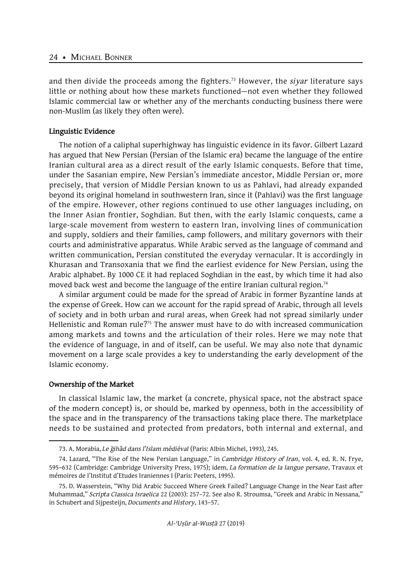and then divide the proceeds among the fighters.73 However, the *siyar* literature says little or nothing about how these markets functioned—not even whether they followed Islamic commercial law or whether any of the merchants conducting business there were non-Muslim (as likely they often were).

## **Linguistic Evidence**

The notion of a caliphal superhighway has linguistic evidence in its favor. Gilbert Lazard has argued that New Persian (Persian of the Islamic era) became the language of the entire Iranian cultural area as a direct result of the early Islamic conquests. Before that time, under the Sasanian empire, New Persian's immediate ancestor, Middle Persian or, more precisely, that version of Middle Persian known to us as Pahlavi, had already expanded beyond its original homeland in southwestern Iran, since it (Pahlavi) was the first language of the empire. However, other regions continued to use other languages including, on the Inner Asian frontier, Soghdian. But then, with the early Islamic conquests, came a large-scale movement from western to eastern Iran, involving lines of communication and supply, soldiers and their families, camp followers, and military governors with their courts and administrative apparatus. While Arabic served as the language of command and written communication, Persian constituted the everyday vernacular. It is accordingly in Khurasan and Transoxania that we find the earliest evidence for New Persian, using the Arabic alphabet. By 1000 CE it had replaced Soghdian in the east, by which time it had also moved back west and become the language of the entire Iranian cultural region.<sup>74</sup>

A similar argument could be made for the spread of Arabic in former Byzantine lands at the expense of Greek. How can we account for the rapid spread of Arabic, through all levels of society and in both urban and rural areas, when Greek had not spread similarly under Hellenistic and Roman rule?<sup>75</sup> The answer must have to do with increased communication among markets and towns and the articulation of their roles. Here we may note that the evidence of language, in and of itself, can be useful. We may also note that dynamic movement on a large scale provides a key to understanding the early development of the Islamic economy.

## **Ownership of the Market**

In classical Islamic law, the market (a concrete, physical space, not the abstract space of the modern concept) is, or should be, marked by openness, both in the accessibility of the space and in the transparency of the transactions taking place there. The marketplace needs to be sustained and protected from predators, both internal and external, and

<sup>73.</sup> A. Morabia, *Le ğihâd dans l'Islam médiéval* (Paris: Albin Michel, 1993), 245.

<sup>74.</sup> Lazard, "The Rise of the New Persian Language," in *Cambridge History of Iran*, vol. 4, ed. R. N. Frye, 595–632 (Cambridge: Cambridge University Press, 1975); idem, *La formation de la langue persane*, Travaux et mémoires de l'Institut d'Etudes Iraniennes I (Paris: Peeters, 1995).

<sup>75.</sup> D. Wasserstein, "Why Did Arabic Succeed Where Greek Failed? Language Change in the Near East after Muhammad," *Scripta Classica Israelica* 22 (2003): 257–72. See also R. Stroumsa, "Greek and Arabic in Nessana," in Schubert and Sijpesteijn, *Documents and History*, 143–57.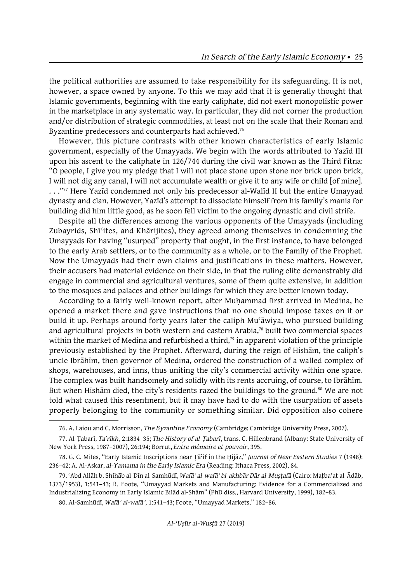the political authorities are assumed to take responsibility for its safeguarding. It is not, however, a space owned by anyone. To this we may add that it is generally thought that Islamic governments, beginning with the early caliphate, did not exert monopolistic power in the marketplace in any systematic way. In particular, they did not corner the production and/or distribution of strategic commodities, at least not on the scale that their Roman and Byzantine predecessors and counterparts had achieved.<sup>76</sup>

However, this picture contrasts with other known characteristics of early Islamic government, especially of the Umayyads. We begin with the words attributed to Yazīd III upon his ascent to the caliphate in 126/744 during the civil war known as the Third Fitna: "O people, I give you my pledge that I will not place stone upon stone nor brick upon brick, I will not dig any canal, I will not accumulate wealth or give it to any wife or child [of mine]. . . ."77 Here Yazīd condemned not only his predecessor al-Walīd II but the entire Umayyad dynasty and clan. However, Yazīd's attempt to dissociate himself from his family's mania for building did him little good, as he soon fell victim to the ongoing dynastic and civil strife.

Despite all the differences among the various opponents of the Umayyads (including Zubayrids, Shīʿites, and Khārijites), they agreed among themselves in condemning the Umayyads for having "usurped" property that ought, in the first instance, to have belonged to the early Arab settlers, or to the community as a whole, or to the Family of the Prophet. Now the Umayyads had their own claims and justifications in these matters. However, their accusers had material evidence on their side, in that the ruling elite demonstrably did engage in commercial and agricultural ventures, some of them quite extensive, in addition to the mosques and palaces and other buildings for which they are better known today.

According to a fairly well-known report, after Muhammad first arrived in Medina, he opened a market there and gave instructions that no one should impose taxes on it or build it up. Perhaps around forty years later the caliph Mu'āwiya, who pursued building and agricultural projects in both western and eastern Arabia,<sup>78</sup> built two commercial spaces within the market of Medina and refurbished a third,<sup>79</sup> in apparent violation of the principle previously established by the Prophet. Afterward, during the reign of Hishām, the caliph's uncle Ibrāhīm, then governor of Medina, ordered the construction of a walled complex of shops, warehouses, and inns, thus uniting the city's commercial activity within one space. The complex was built handsomely and solidly with its rents accruing, of course, to Ibrāhīm. But when Hisham died, the city's residents razed the buildings to the ground.<sup>80</sup> We are not told what caused this resentment, but it may have had to do with the usurpation of assets properly belonging to the community or something similar. Did opposition also cohere

<sup>76.</sup> A. Laiou and C. Morrisson, *The Byzantine Economy* (Cambridge: Cambridge University Press, 2007).

<sup>77.</sup> Al-Ṭabarī, *Ta'rīkh*, 2:1834–35; *The History of al-Ṭabarī*, trans. C. Hillenbrand (Albany: State University of New York Press, 1987–2007), 26:194; Borrut, *Entre mémoire et pouvoir*, 395.

<sup>78.</sup> G. C. Miles, "Early Islamic Inscriptions near Ṭāʾif in the Ḥijāz," *Journal of Near Eastern Studies* 7 (1948): 236–42; A. Al-Askar, *al-Yamama in the Early Islamic Era* (Reading: Ithaca Press, 2002), 84.

<sup>79.</sup> ʿAbd Allāh b. Shihāb al-Dīn al-Samhūdī, *Wafāʾ al-wafāʾ bi-akhbār Dār al-Muṣṭafā* (Cairo: Maṭbaʿat al-Ādāb, 1373/1953), 1:541–43; R. Foote, "Umayyad Markets and Manufacturing: Evidence for a Commercialized and Industrializing Economy in Early Islamic Bilād al-Shām" (PhD diss., Harvard University, 1999), 182–83.

<sup>80.</sup> Al-Samhūdī, *Wafāʾ al-wafāʾ*, 1:541–43; Foote, "Umayyad Markets," 182–86.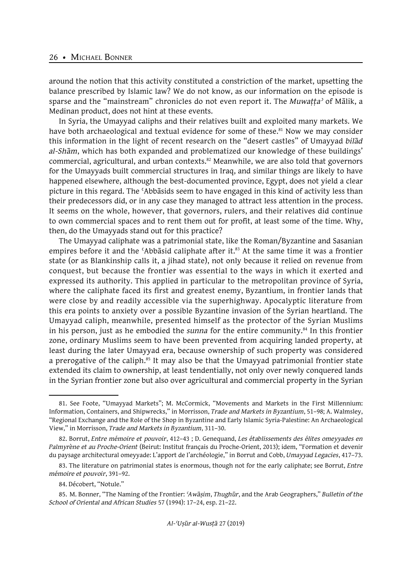around the notion that this activity constituted a constriction of the market, upsetting the balance prescribed by Islamic law? We do not know, as our information on the episode is sparse and the "mainstream" chronicles do not even report it. The *Muwaṭṭaʾ* of Mālik, a Medinan product, does not hint at these events.

In Syria, the Umayyad caliphs and their relatives built and exploited many markets. We have both archaeological and textual evidence for some of these.<sup>81</sup> Now we may consider this information in the light of recent research on the "desert castles" of Umayyad *bilād al-Shām*, which has both expanded and problematized our knowledge of these buildings' commercial, agricultural, and urban contexts.<sup>82</sup> Meanwhile, we are also told that governors for the Umayyads built commercial structures in Iraq, and similar things are likely to have happened elsewhere, although the best-documented province, Egypt, does not yield a clear picture in this regard. The ʿAbbāsids seem to have engaged in this kind of activity less than their predecessors did, or in any case they managed to attract less attention in the process. It seems on the whole, however, that governors, rulers, and their relatives did continue to own commercial spaces and to rent them out for profit, at least some of the time. Why, then, do the Umayyads stand out for this practice?

The Umayyad caliphate was a patrimonial state, like the Roman/Byzantine and Sasanian empires before it and the 'Abbāsid caliphate after it.<sup>83</sup> At the same time it was a frontier state (or as Blankinship calls it, a jihad state), not only because it relied on revenue from conquest, but because the frontier was essential to the ways in which it exerted and expressed its authority. This applied in particular to the metropolitan province of Syria, where the caliphate faced its first and greatest enemy, Byzantium, in frontier lands that were close by and readily accessible via the superhighway. Apocalyptic literature from this era points to anxiety over a possible Byzantine invasion of the Syrian heartland. The Umayyad caliph, meanwhile, presented himself as the protector of the Syrian Muslims in his person, just as he embodied the *sunna* for the entire community.<sup>84</sup> In this frontier zone, ordinary Muslims seem to have been prevented from acquiring landed property, at least during the later Umayyad era, because ownership of such property was considered a prerogative of the caliph.<sup>85</sup> It may also be that the Umayyad patrimonial frontier state extended its claim to ownership, at least tendentially, not only over newly conquered lands in the Syrian frontier zone but also over agricultural and commercial property in the Syrian

<sup>81.</sup> See Foote, "Umayyad Markets"; M. McCormick, "Movements and Markets in the First Millennium: Information, Containers, and Shipwrecks," in Morrisson, *Trade and Markets in Byzantium*, 51–98; A. Walmsley, "Regional Exchange and the Role of the Shop in Byzantine and Early Islamic Syria-Palestine: An Archaeological View," in Morrisson, *Trade and Markets in Byzantium*, 311–30.

<sup>82.</sup> Borrut, *Entre mémoire et pouvoir*, 412–43 ; D. Genequand, *Les établissements des élites omeyyades en Palmyrène et au Proche-Orient* (Beirut: Institut français du Proche-Orient, 2013); idem, "Formation et devenir du paysage architectural omeyyade: L'apport de l'archéologie," in Borrut and Cobb, *Umayyad Legacies*, 417–73.

<sup>83.</sup> The literature on patrimonial states is enormous, though not for the early caliphate; see Borrut, *Entre mémoire et pouvoir*, 391–92.

<sup>84.</sup> Décobert, "Notule."

<sup>85.</sup> M. Bonner, "The Naming of the Frontier: *ʿAwāṣim*, *Thughūr*, and the Arab Geographers," *Bulletin of the School of Oriental and African Studies* 57 (1994): 17–24, esp. 21–22.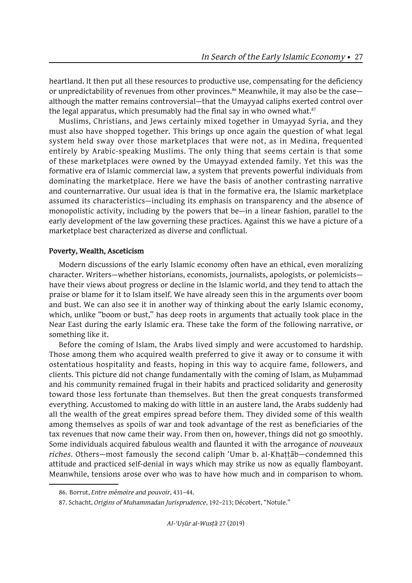heartland. It then put all these resources to productive use, compensating for the deficiency or unpredictability of revenues from other provinces.<sup>86</sup> Meanwhile, it may also be the casealthough the matter remains controversial—that the Umayyad caliphs exerted control over the legal apparatus, which presumably had the final say in who owned what. $87$ 

Muslims, Christians, and Jews certainly mixed together in Umayyad Syria, and they must also have shopped together. This brings up once again the question of what legal system held sway over those marketplaces that were not, as in Medina, frequented entirely by Arabic-speaking Muslims. The only thing that seems certain is that some of these marketplaces were owned by the Umayyad extended family. Yet this was the formative era of Islamic commercial law, a system that prevents powerful individuals from dominating the marketplace. Here we have the basis of another contrasting narrative and counternarrative. Our usual idea is that in the formative era, the Islamic marketplace assumed its characteristics—including its emphasis on transparency and the absence of monopolistic activity, including by the powers that be—in a linear fashion, parallel to the early development of the law governing these practices. Against this we have a picture of a marketplace best characterized as diverse and conflictual.

# **Poverty, Wealth, Asceticism**

Modern discussions of the early Islamic economy often have an ethical, even moralizing character. Writers—whether historians, economists, journalists, apologists, or polemicists have their views about progress or decline in the Islamic world, and they tend to attach the praise or blame for it to Islam itself. We have already seen this in the arguments over boom and bust. We can also see it in another way of thinking about the early Islamic economy, which, unlike "boom or bust," has deep roots in arguments that actually took place in the Near East during the early Islamic era. These take the form of the following narrative, or something like it.

Before the coming of Islam, the Arabs lived simply and were accustomed to hardship. Those among them who acquired wealth preferred to give it away or to consume it with ostentatious hospitality and feasts, hoping in this way to acquire fame, followers, and clients. This picture did not change fundamentally with the coming of Islam, as Muḥammad and his community remained frugal in their habits and practiced solidarity and generosity toward those less fortunate than themselves. But then the great conquests transformed everything. Accustomed to making do with little in an austere land, the Arabs suddenly had all the wealth of the great empires spread before them. They divided some of this wealth among themselves as spoils of war and took advantage of the rest as beneficiaries of the tax revenues that now came their way. From then on, however, things did not go smoothly. Some individuals acquired fabulous wealth and flaunted it with the arrogance of *nouveaux riches*. Others—most famously the second caliph 'Umar b. al-Khaṭṭāb—condemned this attitude and practiced self-denial in ways which may strike us now as equally flamboyant. Meanwhile, tensions arose over who was to have how much and in comparison to whom.

<sup>86.</sup> Borrut, *Entre mémoire and pouvoir*, 431–44.

<sup>87.</sup> Schacht, *Origins of Muhammadan Jurisprudence*, 192–213; Décobert, "Notule."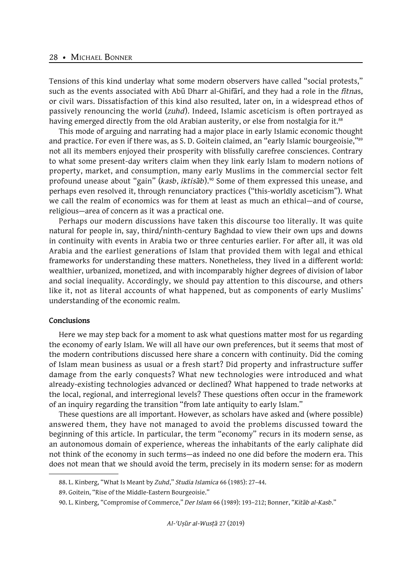Tensions of this kind underlay what some modern observers have called "social protests," such as the events associated with Abū Dharr al-Ghifārī, and they had a role in the *fitna*s, or civil wars. Dissatisfaction of this kind also resulted, later on, in a widespread ethos of passively renouncing the world (*zuhd*). Indeed, Islamic asceticism is often portrayed as having emerged directly from the old Arabian austerity, or else from nostalgia for it.<sup>88</sup>

This mode of arguing and narrating had a major place in early Islamic economic thought and practice. For even if there was, as S. D. Goitein claimed, an "early Islamic bourgeoisie,"<sup>89</sup> not all its members enjoyed their prosperity with blissfully carefree consciences. Contrary to what some present-day writers claim when they link early Islam to modern notions of property, market, and consumption, many early Muslims in the commercial sector felt profound unease about "gain" (*kasb*, *iktisāb*).<sup>90</sup> Some of them expressed this unease, and perhaps even resolved it, through renunciatory practices ("this-worldly asceticism"). What we call the realm of economics was for them at least as much an ethical—and of course, religious—area of concern as it was a practical one.

Perhaps our modern discussions have taken this discourse too literally. It was quite natural for people in, say, third/ninth-century Baghdad to view their own ups and downs in continuity with events in Arabia two or three centuries earlier. For after all, it was old Arabia and the earliest generations of Islam that provided them with legal and ethical frameworks for understanding these matters. Nonetheless, they lived in a different world: wealthier, urbanized, monetized, and with incomparably higher degrees of division of labor and social inequality. Accordingly, we should pay attention to this discourse, and others like it, not as literal accounts of what happened, but as components of early Muslims' understanding of the economic realm.

#### **Conclusions**

Here we may step back for a moment to ask what questions matter most for us regarding the economy of early Islam. We will all have our own preferences, but it seems that most of the modern contributions discussed here share a concern with continuity. Did the coming of Islam mean business as usual or a fresh start? Did property and infrastructure suffer damage from the early conquests? What new technologies were introduced and what already-existing technologies advanced or declined? What happened to trade networks at the local, regional, and interregional levels? These questions often occur in the framework of an inquiry regarding the transition "from late antiquity to early Islam."

These questions are all important. However, as scholars have asked and (where possible) answered them, they have not managed to avoid the problems discussed toward the beginning of this article. In particular, the term "economy" recurs in its modern sense, as an autonomous domain of experience, whereas the inhabitants of the early caliphate did not think of the economy in such terms—as indeed no one did before the modern era. This does not mean that we should avoid the term, precisely in its modern sense: for as modern

<sup>88.</sup> L. Kinberg, "What Is Meant by *Zuhd*," *Studia Islamica* 66 (1985): 27–44.

<sup>89.</sup> Goitein, "Rise of the Middle-Eastern Bourgeoisie."

<sup>90.</sup> L. Kinberg, "Compromise of Commerce," *Der Islam* 66 (1989): 193–212; Bonner, "*Kitāb al-Kasb*."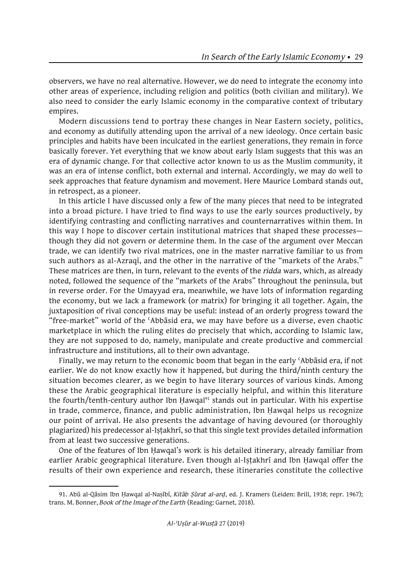observers, we have no real alternative. However, we do need to integrate the economy into other areas of experience, including religion and politics (both civilian and military). We also need to consider the early Islamic economy in the comparative context of tributary empires.

Modern discussions tend to portray these changes in Near Eastern society, politics, and economy as dutifully attending upon the arrival of a new ideology. Once certain basic principles and habits have been inculcated in the earliest generations, they remain in force basically forever. Yet everything that we know about early Islam suggests that this was an era of dynamic change. For that collective actor known to us as the Muslim community, it was an era of intense conflict, both external and internal. Accordingly, we may do well to seek approaches that feature dynamism and movement. Here Maurice Lombard stands out, in retrospect, as a pioneer.

In this article I have discussed only a few of the many pieces that need to be integrated into a broad picture. I have tried to find ways to use the early sources productively, by identifying contrasting and conflicting narratives and counternarratives within them. In this way I hope to discover certain institutional matrices that shaped these processes though they did not govern or determine them. In the case of the argument over Meccan trade, we can identify two rival matrices, one in the master narrative familiar to us from such authors as al-Azraqī, and the other in the narrative of the "markets of the Arabs." These matrices are then, in turn, relevant to the events of the *ridda* wars, which, as already noted, followed the sequence of the "markets of the Arabs" throughout the peninsula, but in reverse order. For the Umayyad era, meanwhile, we have lots of information regarding the economy, but we lack a framework (or matrix) for bringing it all together. Again, the juxtaposition of rival conceptions may be useful: instead of an orderly progress toward the "free-market" world of the ʿAbbāsid era, we may have before us a diverse, even chaotic marketplace in which the ruling elites do precisely that which, according to Islamic law, they are not supposed to do, namely, manipulate and create productive and commercial infrastructure and institutions, all to their own advantage.

Finally, we may return to the economic boom that began in the early ʿAbbāsid era, if not earlier. We do not know exactly how it happened, but during the third/ninth century the situation becomes clearer, as we begin to have literary sources of various kinds. Among these the Arabic geographical literature is especially helpful, and within this literature the fourth/tenth-century author Ibn Hawqal<sup>91</sup> stands out in particular. With his expertise in trade, commerce, finance, and public administration, Ibn Ḥawqal helps us recognize our point of arrival. He also presents the advantage of having devoured (or thoroughly plagiarized) his predecessor al-Iṣṭakhrī, so that this single text provides detailed information from at least two successive generations.

One of the features of Ibn Ḥawqal's work is his detailed itinerary, already familiar from earlier Arabic geographical literature. Even though al-Iṣṭakhrī and Ibn Ḥawqal offer the results of their own experience and research, these itineraries constitute the collective

<sup>91.</sup> Abū al-Qāsim Ibn Ḥawqal al-Naṣībī, *Kitāb Ṣūrat al-arḍ*, ed. J. Kramers (Leiden: Brill, 1938; repr. 1967); trans. M. Bonner, *Book of the Image of the Earth* (Reading: Garnet, 2018).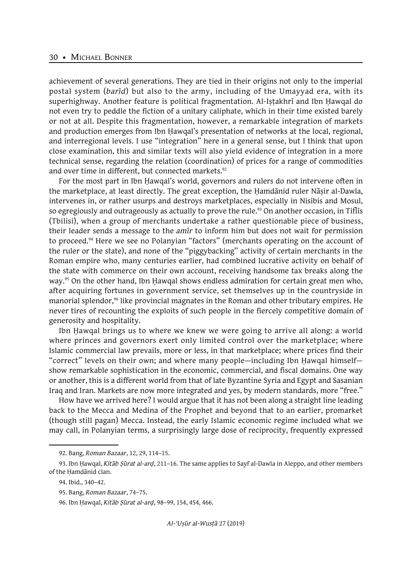achievement of several generations. They are tied in their origins not only to the imperial postal system (*barīd*) but also to the army, including of the Umayyad era, with its superhighway. Another feature is political fragmentation. Al-Iṣṭakhrī and Ibn Ḥawqal do not even try to peddle the fiction of a unitary caliphate, which in their time existed barely or not at all. Despite this fragmentation, however, a remarkable integration of markets and production emerges from Ibn Ḥawqal's presentation of networks at the local, regional, and interregional levels. I use "integration" here in a general sense, but I think that upon close examination, this and similar texts will also yield evidence of integration in a more technical sense, regarding the relation (coordination) of prices for a range of commodities and over time in different, but connected markets.<sup>92</sup>

For the most part in Ibn Ḥawqal's world, governors and rulers do not intervene often in the marketplace, at least directly. The great exception, the Ḥamdānid ruler Nāṣir al-Dawla, intervenes in, or rather usurps and destroys marketplaces, especially in Nisibis and Mosul, so egregiously and outrageously as actually to prove the rule.<sup>93</sup> On another occasion, in Tiflis (Tbilisi), when a group of merchants undertake a rather questionable piece of business, their leader sends a message to the *amīr* to inform him but does not wait for permission to proceed.94 Here we see no Polanyian "factors" (merchants operating on the account of the ruler or the state), and none of the "piggybacking" activity of certain merchants in the Roman empire who, many centuries earlier, had combined lucrative activity on behalf of the state with commerce on their own account, receiving handsome tax breaks along the way.<sup>95</sup> On the other hand, Ibn Hawqal shows endless admiration for certain great men who, after acquiring fortunes in government service, set themselves up in the countryside in manorial splendor,<sup>96</sup> like provincial magnates in the Roman and other tributary empires. He never tires of recounting the exploits of such people in the fiercely competitive domain of generosity and hospitality.

Ibn Ḥawqal brings us to where we knew we were going to arrive all along: a world where princes and governors exert only limited control over the marketplace; where Islamic commercial law prevails, more or less, in that marketplace; where prices find their "correct" levels on their own; and where many people—including Ibn Ḥawqal himself show remarkable sophistication in the economic, commercial, and fiscal domains. One way or another, this is a different world from that of late Byzantine Syria and Egypt and Sasanian Iraq and Iran. Markets are now more integrated and yes, by modern standards, more "free."

How have we arrived here? I would argue that it has not been along a straight line leading back to the Mecca and Medina of the Prophet and beyond that to an earlier, promarket (though still pagan) Mecca. Instead, the early Islamic economic regime included what we may call, in Polanyian terms, a surprisingly large dose of reciprocity, frequently expressed

<sup>92.</sup> Bang, *Roman Bazaar*, 12, 29, 114–15.

<sup>93.</sup> Ibn Ḥawqal, *Kitāb Ṣūrat al-arḍ*, 211–16. The same applies to Sayf al-Dawla in Aleppo, and other members of the Ḥamdānid clan.

<sup>94.</sup> Ibid., 340–42.

<sup>95.</sup> Bang, *Roman Bazaar*, 74–75.

<sup>96.</sup> Ibn Ḥawqal, *Kitāb Ṣūrat al-arḍ*, 98–99, 154, 454, 466.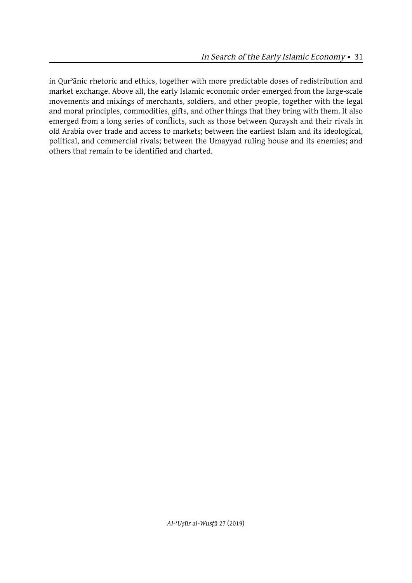in Qurʾānic rhetoric and ethics, together with more predictable doses of redistribution and market exchange. Above all, the early Islamic economic order emerged from the large-scale movements and mixings of merchants, soldiers, and other people, together with the legal and moral principles, commodities, gifts, and other things that they bring with them. It also emerged from a long series of conflicts, such as those between Quraysh and their rivals in old Arabia over trade and access to markets; between the earliest Islam and its ideological, political, and commercial rivals; between the Umayyad ruling house and its enemies; and others that remain to be identified and charted.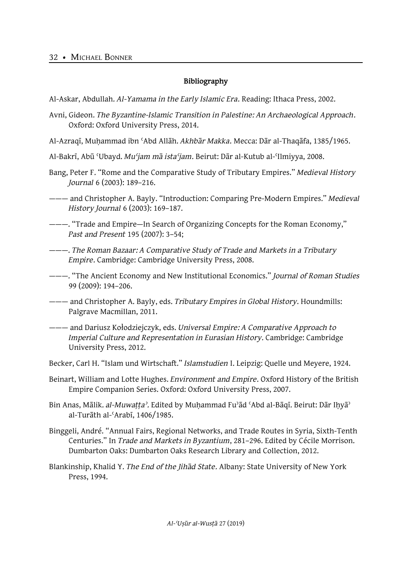# **Bibliography**

Al-Askar, Abdullah. *Al-Yamama in the Early Islamic Era*. Reading: Ithaca Press, 2002.

- Avni, Gideon. *The Byzantine-Islamic Transition in Palestine: An Archaeological Approach*. Oxford: Oxford University Press, 2014.
- Al-Azraqī, Muḥammad ibn ʿAbd Allāh. *Akhbār Makka*. Mecca: Dār al-Thaqāfa, 1385/1965.
- Al-Bakrī, Abū ʿUbayd. *Muʿjam mā istaʿjam*. Beirut: Dār al-Kutub al-ʿIlmiyya, 2008.
- Bang, Peter F. "Rome and the Comparative Study of Tributary Empires." *Medieval History Journal* 6 (2003): 189–216.
- ——— and Christopher A. Bayly. "Introduction: Comparing Pre-Modern Empires." *Medieval History Journal* 6 (2003): 169–187.
- ———. "Trade and Empire—In Search of Organizing Concepts for the Roman Economy," *Past and Present* 195 (2007): 3–54;
- ———. *The Roman Bazaar: A Comparative Study of Trade and Markets in a Tributary Empire*. Cambridge: Cambridge University Press, 2008.
- ———. "The Ancient Economy and New Institutional Economics." *Journal of Roman Studies* 99 (2009): 194–206.
- ——— and Christopher A. Bayly, eds. *Tributary Empires in Global History*. Houndmills: Palgrave Macmillan, 2011.
- ——— and Dariusz Kołodziejczyk, eds. *Universal Empire: A Comparative Approach to Imperial Culture and Representation in Eurasian History*. Cambridge: Cambridge University Press, 2012.
- Becker, Carl H. "Islam und Wirtschaft." *Islamstudien* I. Leipzig: Quelle und Meyere, 1924.
- Beinart, William and Lotte Hughes. *Environment and Empire*. Oxford History of the British Empire Companion Series. Oxford: Oxford University Press, 2007.
- Bin Anas, Mālik. *al-Muwaṭṭaʾ.* Edited by Muḥammad Fuʾād ʿAbd al-Bāqī. Beirut: Dār Iḥyāʾ al-Turāth al-ʿArabī, 1406/1985.
- Binggeli, André. "Annual Fairs, Regional Networks, and Trade Routes in Syria, Sixth-Tenth Centuries." In *Trade and Markets in Byzantium*, 281–296. Edited by Cécile Morrison. Dumbarton Oaks: Dumbarton Oaks Research Library and Collection, 2012.
- Blankinship, Khalid Y. *The End of the Jihād State.* Albany: State University of New York Press, 1994.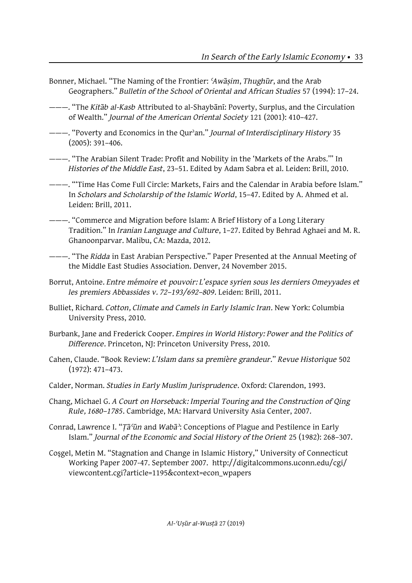- Bonner, Michael. "The Naming of the Frontier: *ʿAwāṣim*, *Thughūr*, and the Arab Geographers." *Bulletin of the School of Oriental and African Studies* 57 (1994): 17–24.
- ———. "The *Kitāb al-Kasb* Attributed to al-Shaybānī: Poverty, Surplus, and the Circulation of Wealth." *Journal of the American Oriental Society* 121 (2001): 410–427.
- ———. "Poverty and Economics in the Qurʾan." *Journal of Interdisciplinary History* 35  $(2005): 391 - 406.$
- ———. "The Arabian Silent Trade: Profit and Nobility in the 'Markets of the Arabs.'" In *Histories of the Middle East*, 23–51. Edited by Adam Sabra et al. Leiden: Brill, 2010.
- ———. "'Time Has Come Full Circle: Markets, Fairs and the Calendar in Arabia before Islam." In *Scholars and Scholarship of the Islamic World*, 15–47. Edited by A. Ahmed et al. Leiden: Brill, 2011.
- ———. "Commerce and Migration before Islam: A Brief History of a Long Literary Tradition." In *Iranian Language and Culture*, 1–27. Edited by Behrad Aghaei and M. R. Ghanoonparvar. Malibu, CA: Mazda, 2012.
- ———. "The *Ridda* in East Arabian Perspective." Paper Presented at the Annual Meeting of the Middle East Studies Association. Denver, 24 November 2015.
- Borrut, Antoine. *Entre mémoire et pouvoir: L'espace syrien sous les derniers Omeyyades et les premiers Abbassides v. 72–193/692–809*. Leiden: Brill, 2011.
- Bulliet, Richard. *Cotton, Climate and Camels in Early Islamic Iran*. New York: Columbia University Press, 2010.
- Burbank, Jane and Frederick Cooper. *Empires in World History: Power and the Politics of Difference*. Princeton, NJ: Princeton University Press, 2010.
- Cahen, Claude. "Book Review: *L'Islam dans sa première grandeur.*" *Revue Historique* 502 (1972): 471–473.
- Calder, Norman. *Studies in Early Muslim Jurisprudence*. Oxford: Clarendon, 1993.
- Chang, Michael G. *A Court on Horseback: Imperial Touring and the Construction of Qing Rule, 1680–1785*. Cambridge, MA: Harvard University Asia Center, 2007.
- Conrad, Lawrence I. "*Ṭāʿūn* and *Wabāʾ*: Conceptions of Plague and Pestilence in Early Islam." *Journal of the Economic and Social History of the Orient* 25 (1982): 268–307.
- Coşgel, Metin M. "Stagnation and Change in Islamic History," University of Connecticut Working Paper 2007-47. September 2007. http://digitalcommons.uconn.edu/cgi/ viewcontent.cgi?article=1195&context=econ\_wpapers

*Al-ʿUṣūr al-Wusṭā* 27 (2019)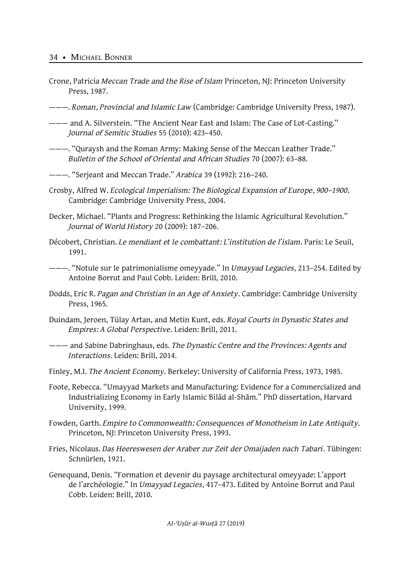- Crone, Patricia *Meccan Trade and the Rise of Islam* Princeton, NJ: Princeton University Press, 1987.
- ———. *Roman, Provincial and Islamic Law* (Cambridge: Cambridge University Press, 1987).
- ——— and A. Silverstein. "The Ancient Near East and Islam: The Case of Lot-Casting." *Journal of Semitic Studies* 55 (2010): 423–450.
- ———. "Quraysh and the Roman Army: Making Sense of the Meccan Leather Trade." *Bulletin of the School of Oriental and African Studies* 70 (2007): 63–88.
- ———. "Serjeant and Meccan Trade." *Arabica* 39 (1992): 216–240.
- Crosby, Alfred W. *Ecological Imperialism: The Biological Expansion of Europe, 900–1900*. Cambridge: Cambridge University Press, 2004.
- Decker, Michael. "Plants and Progress: Rethinking the Islamic Agricultural Revolution." *Journal of World History* 20 (2009): 187–206.
- Décobert, Christian. *Le mendiant et le combattant: L'institution de l'islam.* Paris: Le Seuil, 1991.
- ———. "Notule sur le patrimonialisme omeyyade." In *Umayyad Legacies*, 213–254. Edited by Antoine Borrut and Paul Cobb. Leiden: Brill, 2010.
- Dodds, Eric R. *Pagan and Christian in an Age of Anxiety.* Cambridge: Cambridge University Press, 1965.
- Duindam, Jeroen, Tülay Artan, and Metin Kunt, eds. *Royal Courts in Dynastic States and Empires: A Global Perspective.* Leiden: Brill, 2011.
- ——— and Sabine Dabringhaus, eds. *The Dynastic Centre and the Provinces: Agents and Interactions.* Leiden: Brill, 2014.
- Finley, M.I. *The Ancient Economy.* Berkeley: University of California Press, 1973, 1985.
- Foote, Rebecca. "Umayyad Markets and Manufacturing: Evidence for a Commercialized and Industrializing Economy in Early Islamic Bilād al-Shām." PhD dissertation, Harvard University, 1999.
- Fowden, Garth. *Empire to Commonwealth: Consequences of Monotheism in Late Antiquity.* Princeton, NJ: Princeton University Press, 1993.
- Fries, Nicolaus. *Das Heereswesen der Araber zur Zeit der Omaijaden nach Tabari.* Tübingen: Schnürlen, 1921.
- Genequand, Denis. "Formation et devenir du paysage architectural omeyyade: L'apport de l'archéologie." In *Umayyad Legacies*, 417–473. Edited by Antoine Borrut and Paul Cobb. Leiden: Brill, 2010.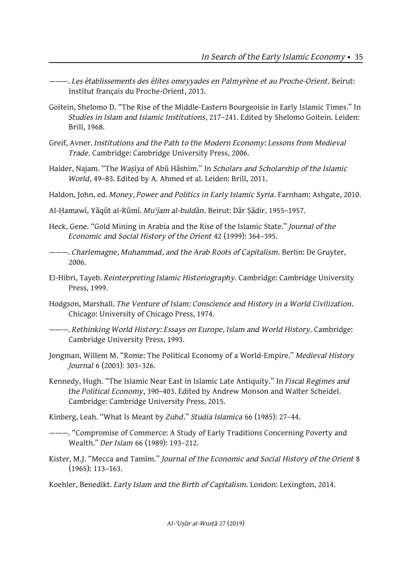- ———. *Les établissements des élites omeyyades en Palmyrène et au Proche-Orient.* Beirut: Institut français du Proche-Orient, 2013.
- Goitein, Shelomo D. "The Rise of the Middle-Eastern Bourgeoisie in Early Islamic Times." In *Studies in Islam and Islamic Institutions*, 217–241. Edited by Shelomo Goitein. Leiden: Brill, 1968.
- Greif, Avner. *Institutions and the Path to the Modern Economy: Lessons from Medieval Trade.* Cambridge: Cambridge University Press, 2006.
- Haider, Najam. "The *Waṣīya* of Abū Hāshim." In *Scholars and Scholarship of the Islamic World*, 49–83. Edited by A. Ahmed et al. Leiden: Brill, 2011.
- Haldon, John, ed. *Money, Power and Politics in Early Islamic Syria.* Farnham: Ashgate, 2010.
- Al-Ḥamawī, Yāqūt al-Rūmī. *Muʿjam al-buldān.* Beirut: Dār Ṣādir, 1955–1957.
- Heck, Gene. "Gold Mining in Arabia and the Rise of the Islamic State." *Journal of the Economic and Social History of the Orient* 42 (1999): 364–395.
- ———. *Charlemagne, Muhammad, and the Arab Roots of Capitalism.* Berlin: De Gruyter, 2006.
- El-Hibri, Tayeb. *Reinterpreting Islamic Historiography.* Cambridge: Cambridge University Press, 1999.
- Hodgson, Marshall. *The Venture of Islam: Conscience and History in a World Civilization.* Chicago: University of Chicago Press, 1974.
- ———. *Rethinking World History: Essays on Europe, Islam and World History.* Cambridge: Cambridge University Press, 1993.
- Jongman, Willem M. "Rome: The Political Economy of a World-Empire." *Medieval History Journal* 6 (2003): 303–326.
- Kennedy, Hugh. "The Islamic Near East in Islamic Late Antiquity." In *Fiscal Regimes and the Political Economy*, 390–403. Edited by Andrew Monson and Walter Scheidel. Cambridge: Cambridge University Press, 2015.
- Kinberg, Leah. "What Is Meant by *Zuhd*." *Studia Islamica* 66 (1985): 27–44.
- ———. "Compromise of Commerce: A Study of Early Traditions Concerning Poverty and Wealth." *Der Islam* 66 (1989): 193–212.
- Kister, M.J. "Mecca and Tamīm." *Journal of the Economic and Social History of the Orient* 8 (1965): 113–163.

Koehler, Benedikt. *Early Islam and the Birth of Capitalism.* London: Lexington, 2014.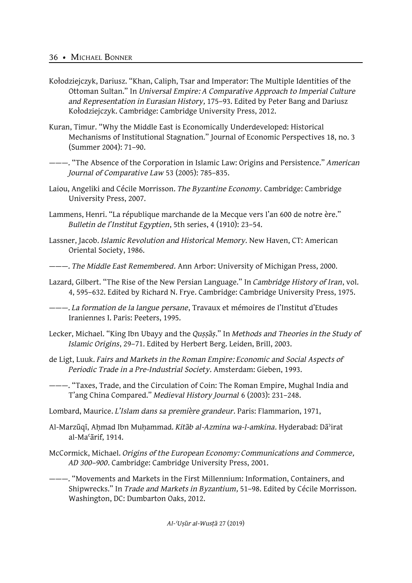- Kołodziejczyk, Dariusz. "Khan, Caliph, Tsar and Imperator: The Multiple Identities of the Ottoman Sultan." In *Universal Empire: A Comparative Approach to Imperial Culture and Representation in Eurasian History,* 175–93. Edited by Peter Bang and Dariusz Kołodziejczyk. Cambridge: Cambridge University Press, 2012.
- Kuran, Timur. "Why the Middle East is Economically Underdeveloped: Historical Mechanisms of Institutional Stagnation." Journal of Economic Perspectives 18, no. 3 (Summer 2004): 71–90.

———. "The Absence of the Corporation in Islamic Law: Origins and Persistence." *American Journal of Comparative Law* 53 (2005): 785–835.

- Laiou, Angeliki and Cécile Morrisson. *The Byzantine Economy.* Cambridge: Cambridge University Press, 2007.
- Lammens, Henri. "La république marchande de la Mecque vers l'an 600 de notre ère." *Bulletin de l'Institut Egyptien*, 5th series, 4 (1910): 23–54.
- Lassner, Jacob. *Islamic Revolution and Historical Memory.* New Haven, CT: American Oriental Society, 1986.
- ———. *The Middle East Remembered.* Ann Arbor: University of Michigan Press, 2000.
- Lazard, Gilbert. "The Rise of the New Persian Language." In *Cambridge History of Iran*, vol. 4, 595–632. Edited by Richard N. Frye. Cambridge: Cambridge University Press, 1975.
- ———. *La formation de la langue persane*, Travaux et mémoires de l'Institut d'Etudes Iraniennes I. Paris: Peeters, 1995.
- Lecker, Michael. "King Ibn Ubayy and the *Quṣṣāṣ*." In *Methods and Theories in the Study of Islamic Origins*, 29–71. Edited by Herbert Berg. Leiden, Brill, 2003.
- de Ligt, Luuk. *Fairs and Markets in the Roman Empire: Economic and Social Aspects of Periodic Trade in a Pre-Industrial Society.* Amsterdam: Gieben, 1993.

———. "Taxes, Trade, and the Circulation of Coin: The Roman Empire, Mughal India and T'ang China Compared." *Medieval History Journal* 6 (2003): 231–248.

Lombard, Maurice. *L'Islam dans sa première grandeur*. Paris: Flammarion, 1971,

- Al-Marzūqī, Aḥmad Ibn Muḥammad. *Kitāb al-Azmina wa-l-amkina*. Hyderabad: Dāʾirat al-Maʿārif, 1914.
- McCormick, Michael. *Origins of the European Economy: Communications and Commerce, AD 300–900*. Cambridge: Cambridge University Press, 2001.

———. "Movements and Markets in the First Millennium: Information, Containers, and Shipwrecks." In *Trade and Markets in Byzantium,* 51–98. Edited by Cécile Morrisson. Washington, DC: Dumbarton Oaks, 2012.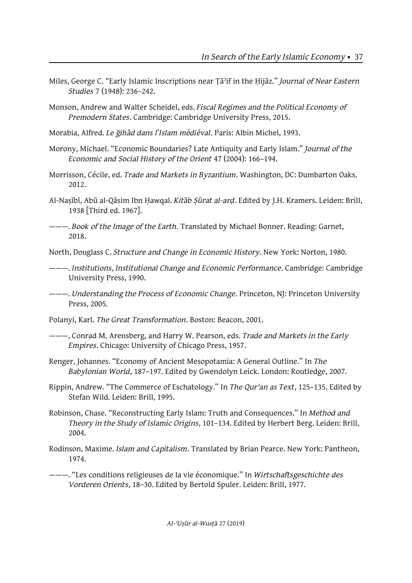- Miles, George C. "Early Islamic Inscriptions near Ṭāʾif in the Ḥijāz." *Journal of Near Eastern Studies* 7 (1948): 236–242.
- Monson, Andrew and Walter Scheidel, eds. *Fiscal Regimes and the Political Economy of Premodern States.* Cambridge: Cambridge University Press, 2015.
- Morabia, Alfred. *Le ğihâd dans l'Islam médiéval.* Paris: Albin Michel, 1993.
- Morony, Michael. "Economic Boundaries? Late Antiquity and Early Islam." *Journal of the Economic and Social History of the Orient* 47 (2004): 166–194.
- Morrisson, Cécile, ed. *Trade and Markets in Byzantium.* Washington, DC: Dumbarton Oaks, 2012.
- Al-Naṣībī, Abū al-Qāsim Ibn Ḥawqal. *Kitāb Ṣūrat al-arḍ*. Edited by J.H. Kramers. Leiden: Brill, 1938 [Third ed. 1967].
- ———. *Book of the Image of the Earth*. Translated by Michael Bonner. Reading: Garnet, 2018.
- North, Douglass C. *Structure and Change in Economic History.* New York: Norton, 1980.
- ———. *Institutions, Institutional Change and Economic Performance.* Cambridge: Cambridge University Press, 1990.
- ———. *Understanding the Process of Economic Change.* Princeton, NJ: Princeton University Press, 2005.
- Polanyi, Karl. *The Great Transformation.* Boston: Beacon, 2001.
- ———, Conrad M. Arensberg, and Harry W. Pearson, eds. *Trade and Markets in the Early Empires.* Chicago: University of Chicago Press, 1957.
- Renger, Johannes. "Economy of Ancient Mesopotamia: A General Outline." In *The Babylonian World*, 187–197. Edited by Gwendolyn Leick. London: Routledge, 2007.
- Rippin, Andrew. "The Commerce of Eschatology." In *The Qurʾan as Text*, 125–135. Edited by Stefan Wild. Leiden: Brill, 1995.
- Robinson, Chase. "Reconstructing Early Islam: Truth and Consequences." In *Method and Theory in the Study of Islamic Origins*, 101–134. Edited by Herbert Berg. Leiden: Brill, 2004.
- Rodinson, Maxime. *Islam and Capitalism*. Translated by Brian Pearce. New York: Pantheon, 1974.
- ———. "Les conditions religieuses de la vie économique." In *Wirtschaftsgeschichte des Vorderen Orients*, 18–30. Edited by Bertold Spuler. Leiden: Brill, 1977.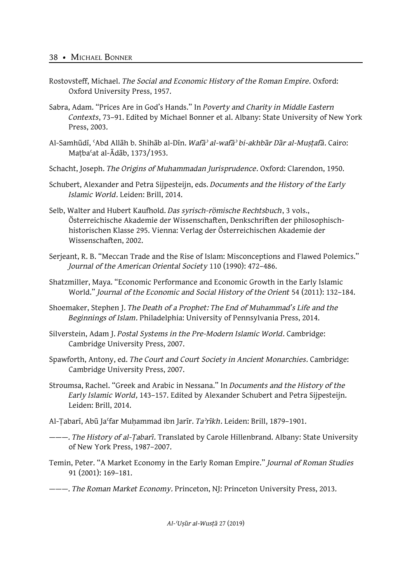- Rostovsteff, Michael. *The Social and Economic History of the Roman Empire*. Oxford: Oxford University Press, 1957.
- Sabra, Adam. "Prices Are in God's Hands." In *Poverty and Charity in Middle Eastern Contexts*, 73–91. Edited by Michael Bonner et al. Albany: State University of New York Press, 2003.
- Al-Samhūdī, ʿAbd Allāh b. Shihāb al-Dīn. *Wafāʾ al-wafāʾ bi-akhbār Dār al-Muṣṭafā.* Cairo: Maṭbaʿat al-Ādāb, 1373/1953.
- Schacht, Joseph. *The Origins of Muhammadan Jurisprudence*. Oxford: Clarendon, 1950.
- Schubert, Alexander and Petra Sijpesteijn, eds. *Documents and the History of the Early Islamic World.* Leiden: Brill, 2014.
- Selb, Walter and Hubert Kaufhold. *Das syrisch-römische Rechtsbuch*, 3 vols., Österreichische Akademie der Wissenschaften, Denkschriften der philosophischhistorischen Klasse 295. Vienna: Verlag der Österreichischen Akademie der Wissenschaften, 2002.
- Serjeant, R. B. "Meccan Trade and the Rise of Islam: Misconceptions and Flawed Polemics." *Journal of the American Oriental Society* 110 (1990): 472–486.
- Shatzmiller, Maya. "Economic Performance and Economic Growth in the Early Islamic World." *Journal of the Economic and Social History of the Orient* 54 (2011): 132–184.
- Shoemaker, Stephen J. *The Death of a Prophet: The End of Muhammad's Life and the Beginnings of Islam.* Philadelphia: University of Pennsylvania Press, 2014.
- Silverstein, Adam J. *Postal Systems in the Pre-Modern Islamic World.* Cambridge: Cambridge University Press, 2007.
- Spawforth, Antony, ed. *The Court and Court Society in Ancient Monarchies.* Cambridge: Cambridge University Press, 2007.
- Stroumsa, Rachel. "Greek and Arabic in Nessana." In *Documents and the History of the Early Islamic World,* 143–157. Edited by Alexander Schubert and Petra Sijpesteijn. Leiden: Brill, 2014.
- Al-Ṭabarī, Abū Jaʿfar Muḥammad ibn Jarīr. *Taʾrīkh.* Leiden: Brill, 1879–1901.
- ———. *The History of al-Ṭabarī*. Translated by Carole Hillenbrand. Albany: State University of New York Press, 1987–2007.
- Temin, Peter. "A Market Economy in the Early Roman Empire." *Journal of Roman Studies* 91 (2001): 169–181.
- ———. *The Roman Market Economy.* Princeton, NJ: Princeton University Press, 2013.